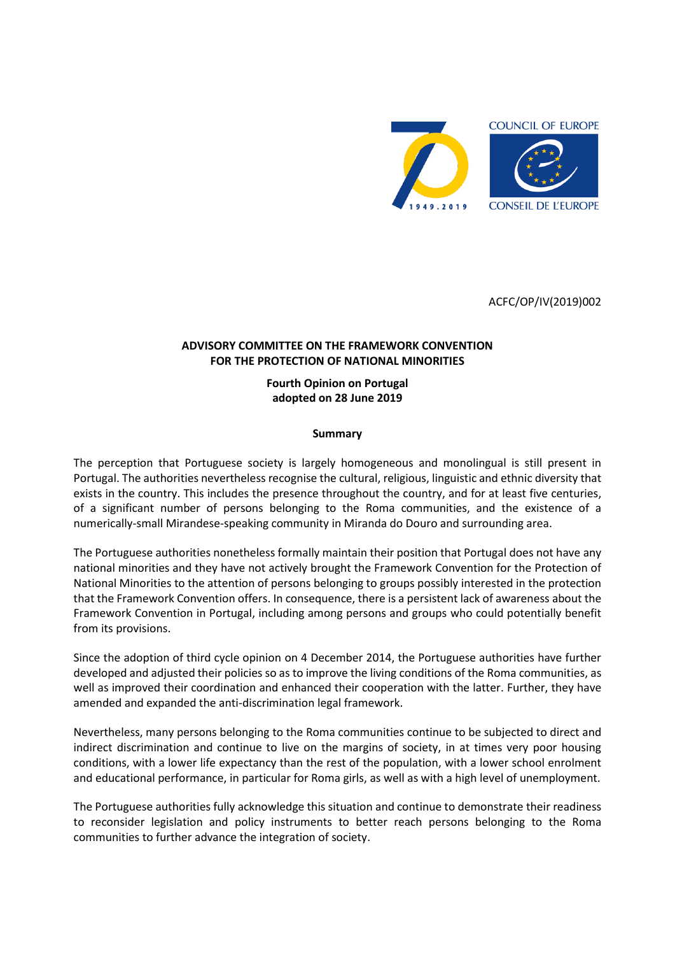

### **ADVISORY COMMITTEE ON THE FRAMEWORK CONVENTION FOR THE PROTECTION OF NATIONAL MINORITIES**

**Fourth Opinion on Portugal adopted on 28 June 2019**

#### **Summary**

The perception that Portuguese society is largely homogeneous and monolingual is still present in Portugal. The authorities nevertheless recognise the cultural, religious, linguistic and ethnic diversity that exists in the country. This includes the presence throughout the country, and for at least five centuries, of a significant number of persons belonging to the Roma communities, and the existence of a numerically-small Mirandese-speaking community in Miranda do Douro and surrounding area.

The Portuguese authorities nonetheless formally maintain their position that Portugal does not have any national minorities and they have not actively brought the Framework Convention for the Protection of National Minorities to the attention of persons belonging to groups possibly interested in the protection that the Framework Convention offers. In consequence, there is a persistent lack of awareness about the Framework Convention in Portugal, including among persons and groups who could potentially benefit from its provisions.

Since the adoption of third cycle opinion on 4 December 2014, the Portuguese authorities have further developed and adjusted their policies so as to improve the living conditions of the Roma communities, as well as improved their coordination and enhanced their cooperation with the latter. Further, they have amended and expanded the anti-discrimination legal framework.

Nevertheless, many persons belonging to the Roma communities continue to be subjected to direct and indirect discrimination and continue to live on the margins of society, in at times very poor housing conditions, with a lower life expectancy than the rest of the population, with a lower school enrolment and educational performance, in particular for Roma girls, as well as with a high level of unemployment.

The Portuguese authorities fully acknowledge this situation and continue to demonstrate their readiness to reconsider legislation and policy instruments to better reach persons belonging to the Roma communities to further advance the integration of society.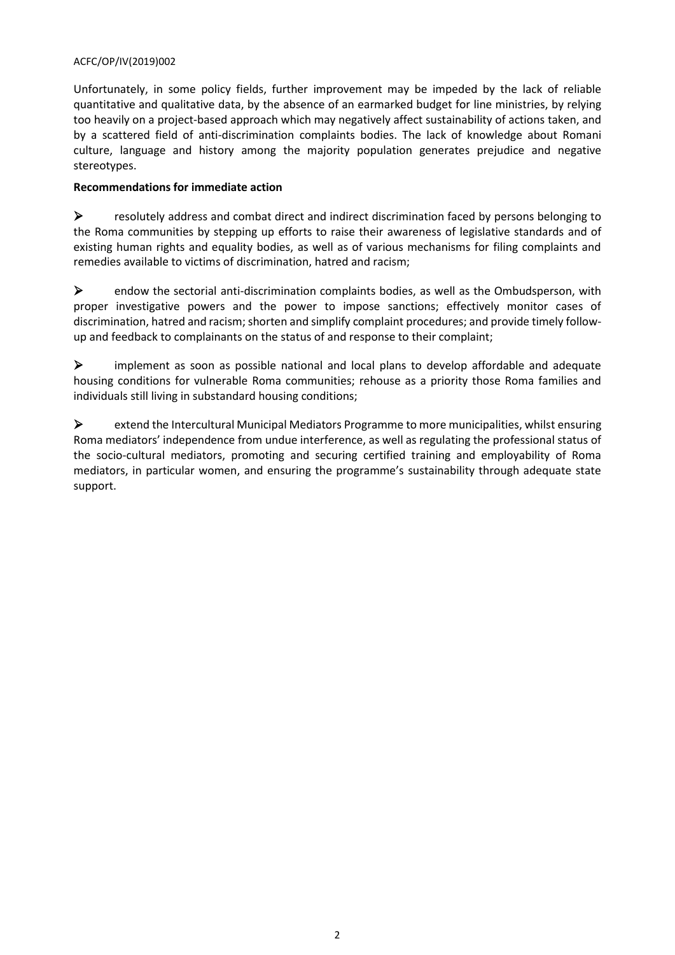Unfortunately, in some policy fields, further improvement may be impeded by the lack of reliable quantitative and qualitative data, by the absence of an earmarked budget for line ministries, by relying too heavily on a project-based approach which may negatively affect sustainability of actions taken, and by a scattered field of anti-discrimination complaints bodies. The lack of knowledge about Romani culture, language and history among the majority population generates prejudice and negative stereotypes.

## **Recommendations for immediate action**

 resolutely address and combat direct and indirect discrimination faced by persons belonging to the Roma communities by stepping up efforts to raise their awareness of legislative standards and of existing human rights and equality bodies, as well as of various mechanisms for filing complaints and remedies available to victims of discrimination, hatred and racism;

 $\triangleright$  endow the sectorial anti-discrimination complaints bodies, as well as the Ombudsperson, with proper investigative powers and the power to impose sanctions; effectively monitor cases of discrimination, hatred and racism; shorten and simplify complaint procedures; and provide timely followup and feedback to complainants on the status of and response to their complaint;

 implement as soon as possible national and local plans to develop affordable and adequate housing conditions for vulnerable Roma communities; rehouse as a priority those Roma families and individuals still living in substandard housing conditions;

 extend the Intercultural Municipal Mediators Programme to more municipalities, whilst ensuring Roma mediators' independence from undue interference, as well as regulating the professional status of the socio-cultural mediators, promoting and securing certified training and employability of Roma mediators, in particular women, and ensuring the programme's sustainability through adequate state support.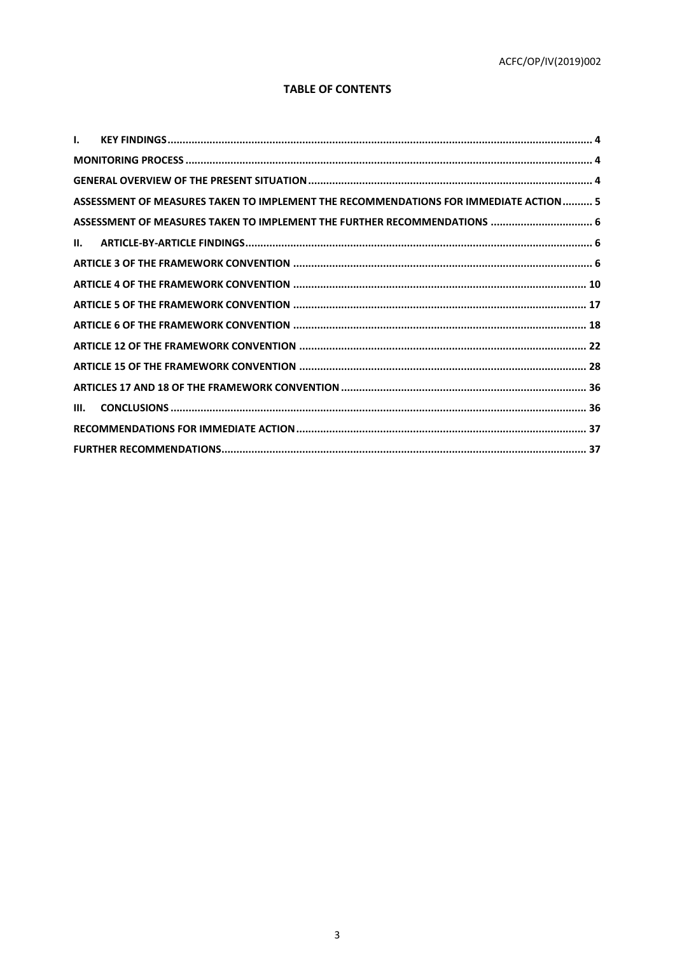### **TABLE OF CONTENTS**

| $\mathbf{L}$ |                                                                                       |  |
|--------------|---------------------------------------------------------------------------------------|--|
|              |                                                                                       |  |
|              |                                                                                       |  |
|              | ASSESSMENT OF MEASURES TAKEN TO IMPLEMENT THE RECOMMENDATIONS FOR IMMEDIATE ACTION  5 |  |
|              | ASSESSMENT OF MEASURES TAKEN TO IMPLEMENT THE FURTHER RECOMMENDATIONS  6              |  |
| II.          |                                                                                       |  |
|              |                                                                                       |  |
|              |                                                                                       |  |
|              |                                                                                       |  |
|              |                                                                                       |  |
|              |                                                                                       |  |
|              |                                                                                       |  |
|              |                                                                                       |  |
| III.         |                                                                                       |  |
|              |                                                                                       |  |
|              |                                                                                       |  |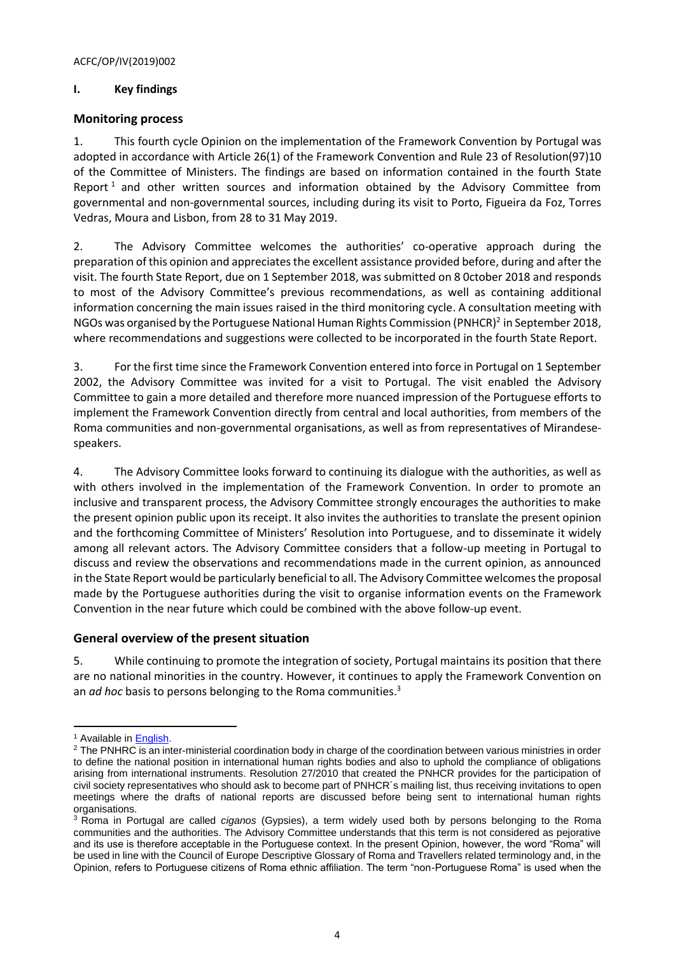### <span id="page-3-0"></span>**I. Key findings**

## <span id="page-3-1"></span>**Monitoring process**

1. This fourth cycle Opinion on the implementation of the Framework Convention by Portugal was adopted in accordance with Article 26(1) of the Framework Convention and Rule 23 of Resolution(97)10 of the Committee of Ministers. The findings are based on information contained in the fourth [State](https://rm.coe.int/CoERMPublicCommonSearchServices/DisplayDCTMContent?documentId=090000168065895c)  [Report](https://rm.coe.int/CoERMPublicCommonSearchServices/DisplayDCTMContent?documentId=090000168065895c)  $1$  and other written sources and information obtained by the Advisory Committee from governmental and non-governmental sources, including during its visit to Porto, Figueira da Foz, Torres Vedras, Moura and Lisbon, from 28 to 31 May 2019.

2. The Advisory Committee welcomes the authorities' co-operative approach during the preparation of this opinion and appreciates the excellent assistance provided before, during and after the visit. The fourth State Report, due on 1 September 2018, was submitted on 8 0ctober 2018 and responds to most of the Advisory Committee's previous recommendations, as well as containing additional information concerning the main issues raised in the third monitoring cycle. A consultation meeting with NGOs was organised by the Portuguese National Human Rights Commission (PNHCR) 2 in September 2018, where recommendations and suggestions were collected to be incorporated in the fourth State Report.

3. For the first time since the Framework Convention entered into force in Portugal on 1 September 2002, the Advisory Committee was invited for a visit to Portugal. The visit enabled the Advisory Committee to gain a more detailed and therefore more nuanced impression of the Portuguese efforts to implement the Framework Convention directly from central and local authorities, from members of the Roma communities and non-governmental organisations, as well as from representatives of Mirandesespeakers.

4. The Advisory Committee looks forward to continuing its dialogue with the authorities, as well as with others involved in the implementation of the Framework Convention. In order to promote an inclusive and transparent process, the Advisory Committee strongly encourages the authorities to make the present opinion public upon its receipt. It also invites the authorities to translate the present opinion and the forthcoming Committee of Ministers' Resolution into Portuguese, and to disseminate it widely among all relevant actors. The Advisory Committee considers that a follow-up meeting in Portugal to discuss and review the observations and recommendations made in the current opinion, as announced in the State Report would be particularly beneficial to all. The Advisory Committee welcomesthe proposal made by the Portuguese authorities during the visit to organise information events on the Framework Convention in the near future which could be combined with the above follow-up event.

### <span id="page-3-2"></span>**General overview of the present situation**

5. While continuing to promote the integration of society, Portugal maintains its position that there are no national minorities in the country. However, it continues to apply the Framework Convention on an *ad hoc* basis to persons belonging to the Roma communities. 3

l <sup>1</sup> Available in [English.](https://rm.coe.int/4th-sr-portugal-en/16808e563a)

<sup>&</sup>lt;sup>2</sup> The PNHRC is an inter-ministerial coordination body in charge of the coordination between various ministries in order to define the national position in international human rights bodies and also to uphold the compliance of obligations arising from international instruments. Resolution 27/2010 that created the PNHCR provides for the participation of civil society representatives who should ask to become part of PNHCR´s mailing list, thus receiving invitations to open meetings where the drafts of national reports are discussed before being sent to international human rights organisations.

<sup>3</sup> Roma in Portugal are called *ciganos* (Gypsies), a term widely used both by persons belonging to the Roma communities and the authorities. The Advisory Committee understands that this term is not considered as pejorative and its use is therefore acceptable in the Portuguese context. In the present Opinion, however, the word "Roma" will be used in line with the Council of Europe Descriptive Glossary of Roma and Travellers related terminology and, in the Opinion, refers to Portuguese citizens of Roma ethnic affiliation. The term "non-Portuguese Roma" is used when the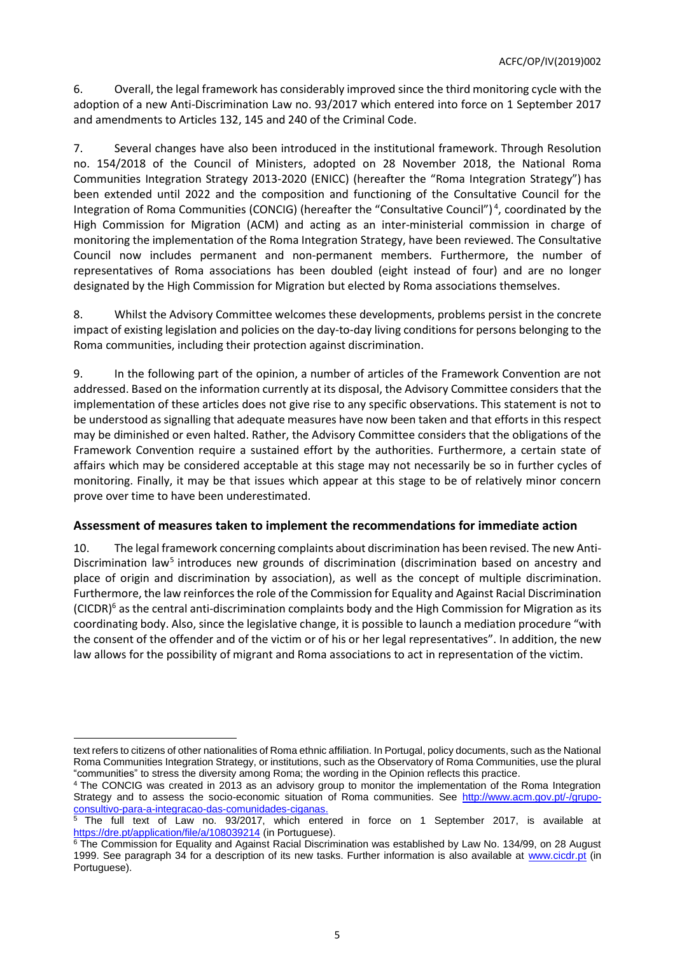6. Overall, the legal framework has considerably improved since the third monitoring cycle with the adoption of a new Anti-Discrimination Law no. 93/2017 which entered into force on 1 September 2017 and amendments to Articles 132, 145 and 240 of the Criminal Code.

7. Several changes have also been introduced in the institutional framework. Through Resolution no. 154/2018 of the Council of Ministers, adopted on 28 November 2018, the National Roma Communities Integration Strategy 2013-2020 (ENICC) (hereafter the "Roma Integration Strategy") has been extended until 2022 and the composition and functioning of the Consultative Council for the Integration of Roma Communities (CONCIG) (hereafter the "Consultative Council") 4 , coordinated by the High Commission for Migration (ACM) and acting as an inter-ministerial commission in charge of monitoring the implementation of the Roma Integration Strategy, have been reviewed. The Consultative Council now includes permanent and non-permanent members. Furthermore, the number of representatives of Roma associations has been doubled (eight instead of four) and are no longer designated by the High Commission for Migration but elected by Roma associations themselves.

8. Whilst the Advisory Committee welcomes these developments, problems persist in the concrete impact of existing legislation and policies on the day-to-day living conditions for persons belonging to the Roma communities, including their protection against discrimination.

9. In the following part of the opinion, a number of articles of the Framework Convention are not addressed. Based on the information currently at its disposal, the Advisory Committee considers that the implementation of these articles does not give rise to any specific observations. This statement is not to be understood as signalling that adequate measures have now been taken and that efforts in this respect may be diminished or even halted. Rather, the Advisory Committee considers that the obligations of the Framework Convention require a sustained effort by the authorities. Furthermore, a certain state of affairs which may be considered acceptable at this stage may not necessarily be so in further cycles of monitoring. Finally, it may be that issues which appear at this stage to be of relatively minor concern prove over time to have been underestimated.

## <span id="page-4-0"></span>**Assessment of measures taken to implement the recommendations for immediate action**

10. The legal framework concerning complaints about discrimination has been revised. The new Anti-Discrimination law<sup>5</sup> introduces new grounds of discrimination (discrimination based on ancestry and place of origin and discrimination by association), as well as the concept of multiple discrimination. Furthermore, the law reinforces the role of the Commission for Equality and Against Racial Discrimination  $(CICDR)^6$  as the central anti-discrimination complaints body and the High Commission for Migration as its coordinating body. Also, since the legislative change, it is possible to launch a mediation procedure "with the consent of the offender and of the victim or of his or her legal representatives". In addition, the new law allows for the possibility of migrant and Roma associations to act in representation of the victim.

 $\overline{a}$ text refers to citizens of other nationalities of Roma ethnic affiliation. In Portugal, policy documents, such as the National Roma Communities Integration Strategy, or institutions, such as the Observatory of Roma Communities, use the plural "communities" to stress the diversity among Roma; the wording in the Opinion reflects this practice.

<sup>4</sup> The CONCIG was created in 2013 as an advisory group to monitor the implementation of the Roma Integration Strategy and to assess the socio-economic situation of Roma communities. See [http://www.acm.gov.pt/-/grupo](http://www.acm.gov.pt/-/grupo-consultivo-para-a-integracao-das-comunidades-ciganas)[consultivo-para-a-integracao-das-comunidades-ciganas.](http://www.acm.gov.pt/-/grupo-consultivo-para-a-integracao-das-comunidades-ciganas)

<sup>5</sup> The full text of Law no. 93/2017, which entered in force on 1 September 2017, is available at <https://dre.pt/application/file/a/108039214> (in Portuguese).

<sup>6</sup> The Commission for Equality and Against Racial Discrimination was established by Law No. 134/99, on 28 August 1999. See paragraph 34 for a description of its new tasks. Further information is also available at [www.cicdr.pt](http://www.cicdr.pt/) (in Portuguese).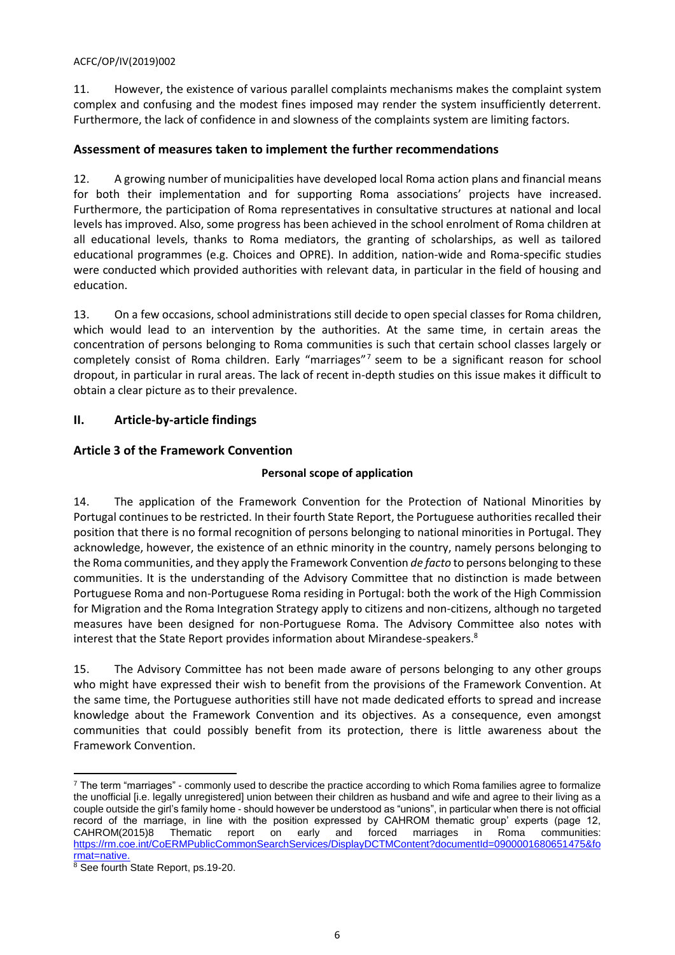11. However, the existence of various parallel complaints mechanisms makes the complaint system complex and confusing and the modest fines imposed may render the system insufficiently deterrent. Furthermore, the lack of confidence in and slowness of the complaints system are limiting factors.

## <span id="page-5-0"></span>**Assessment of measures taken to implement the further recommendations**

12. A growing number of municipalities have developed local Roma action plans and financial means for both their implementation and for supporting Roma associations' projects have increased. Furthermore, the participation of Roma representatives in consultative structures at national and local levels has improved. Also, some progress has been achieved in the school enrolment of Roma children at all educational levels, thanks to Roma mediators, the granting of scholarships, as well as tailored educational programmes (e.g. Choices and OPRE). In addition, nation-wide and Roma-specific studies were conducted which provided authorities with relevant data, in particular in the field of housing and education.

13. On a few occasions, school administrations still decide to open special classes for Roma children, which would lead to an intervention by the authorities. At the same time, in certain areas the concentration of persons belonging to Roma communities is such that certain school classes largely or completely consist of Roma children. Early "marriages" 7 seem to be a significant reason for school dropout, in particular in rural areas. The lack of recent in-depth studies on this issue makes it difficult to obtain a clear picture as to their prevalence.

# <span id="page-5-1"></span>**II. Article-by-article findings**

# <span id="page-5-2"></span>**Article 3 of the Framework Convention**

## **Personal scope of application**

14. The application of the Framework Convention for the Protection of National Minorities by Portugal continues to be restricted. In their fourth State Report, the Portuguese authorities recalled their position that there is no formal recognition of persons belonging to national minorities in Portugal. They acknowledge, however, the existence of an ethnic minority in the country, namely persons belonging to the Roma communities, and they apply the Framework Convention *de facto* to persons belonging to these communities. It is the understanding of the Advisory Committee that no distinction is made between Portuguese Roma and non-Portuguese Roma residing in Portugal: both the work of the High Commission for Migration and the Roma Integration Strategy apply to citizens and non-citizens, although no targeted measures have been designed for non-Portuguese Roma. The Advisory Committee also notes with interest that the State Report provides information about Mirandese-speakers.<sup>8</sup>

15. The Advisory Committee has not been made aware of persons belonging to any other groups who might have expressed their wish to benefit from the provisions of the Framework Convention. At the same time, the Portuguese authorities still have not made dedicated efforts to spread and increase knowledge about the Framework Convention and its objectives. As a consequence, even amongst communities that could possibly benefit from its protection, there is little awareness about the Framework Convention.

 $\overline{a}$ <sup>7</sup> The term "marriages" - commonly used to describe the practice according to which Roma families agree to formalize the unofficial [i.e. legally unregistered] union between their children as husband and wife and agree to their living as a couple outside the girl's family home - should however be understood as "unions", in particular when there is not official record of the marriage, in line with the position expressed by CAHROM thematic group' experts (page 12, CAHROM(2015)8 Thematic report on early and forced marriages in Roma communities: [https://rm.coe.int/CoERMPublicCommonSearchServices/DisplayDCTMContent?documentId=0900001680651475&fo](https://rm.coe.int/CoERMPublicCommonSearchServices/DisplayDCTMContent?documentId=0900001680651475&format=native) [rmat=native.](https://rm.coe.int/CoERMPublicCommonSearchServices/DisplayDCTMContent?documentId=0900001680651475&format=native)

<sup>8</sup> See fourth State Report, ps.19-20.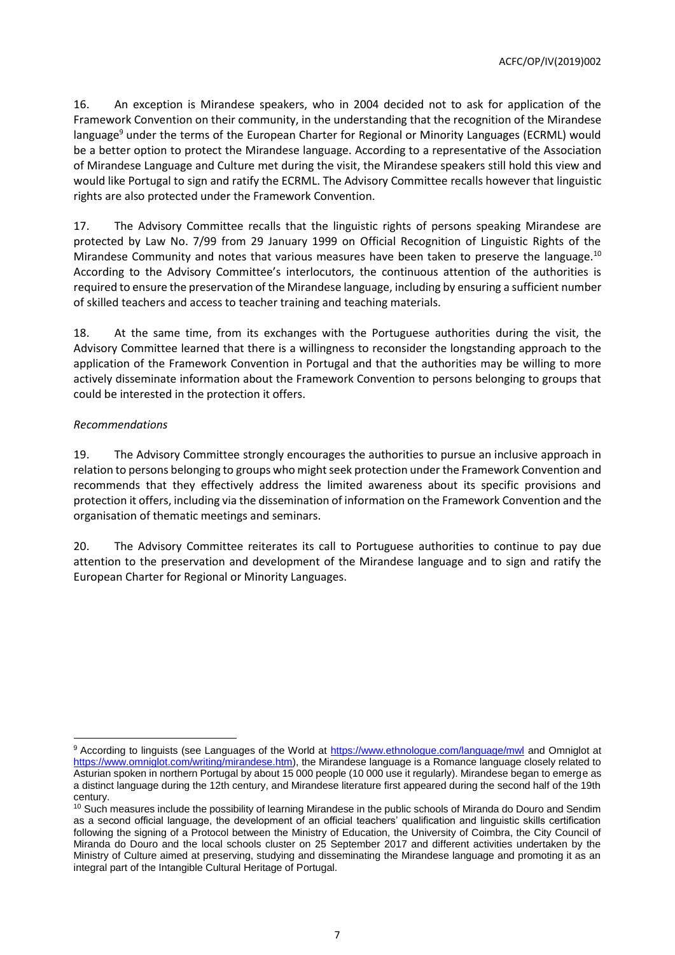16. An exception is Mirandese speakers, who in 2004 decided not to ask for application of the Framework Convention on their community, in the understanding that the recognition of the Mirandese language<sup>9</sup> under the terms of the European Charter for Regional or Minority Languages (ECRML) would be a better option to protect the Mirandese language. According to a representative of the Association of Mirandese Language and Culture met during the visit, the Mirandese speakers still hold this view and would like Portugal to sign and ratify the ECRML. The Advisory Committee recalls however that linguistic rights are also protected under the Framework Convention.

17. The Advisory Committee recalls that the linguistic rights of persons speaking Mirandese are protected by Law No. 7/99 from 29 January 1999 on Official Recognition of Linguistic Rights of the Mirandese Community and notes that various measures have been taken to preserve the language.<sup>10</sup> According to the Advisory Committee's interlocutors, the continuous attention of the authorities is required to ensure the preservation of the Mirandese language, including by ensuring a sufficient number of skilled teachers and access to teacher training and teaching materials.

18. At the same time, from its exchanges with the Portuguese authorities during the visit, the Advisory Committee learned that there is a willingness to reconsider the longstanding approach to the application of the Framework Convention in Portugal and that the authorities may be willing to more actively disseminate information about the Framework Convention to persons belonging to groups that could be interested in the protection it offers.

### *Recommendations*

19. The Advisory Committee strongly encourages the authorities to pursue an inclusive approach in relation to persons belonging to groups who might seek protection under the Framework Convention and recommends that they effectively address the limited awareness about its specific provisions and protection it offers, including via the dissemination of information on the Framework Convention and the organisation of thematic meetings and seminars.

20. The Advisory Committee reiterates its call to Portuguese authorities to continue to pay due attention to the preservation and development of the Mirandese language and to sign and ratify the European Charter for Regional or Minority Languages.

 $\overline{a}$ 9 According to linguists (see Languages of the World at<https://www.ethnologue.com/language/mwl> and Omniglot at [https://www.omniglot.com/writing/mirandese.htm\)](https://www.omniglot.com/writing/mirandese.htm), the Mirandese language is a Romance language closely related to Asturian spoken in northern Portugal by about 15 000 people (10 000 use it regularly). Mirandese began to emerge as a distinct language during the 12th century, and Mirandese literature first appeared during the second half of the 19th century.

<sup>&</sup>lt;sup>10</sup> Such measures include the possibility of learning Mirandese in the public schools of Miranda do Douro and Sendim as a second official language, the development of an official teachers' qualification and linguistic skills certification following the signing of a Protocol between the Ministry of Education, the University of Coimbra, the City Council of Miranda do Douro and the local schools cluster on 25 September 2017 and different activities undertaken by the Ministry of Culture aimed at preserving, studying and disseminating the Mirandese language and promoting it as an integral part of the Intangible Cultural Heritage of Portugal.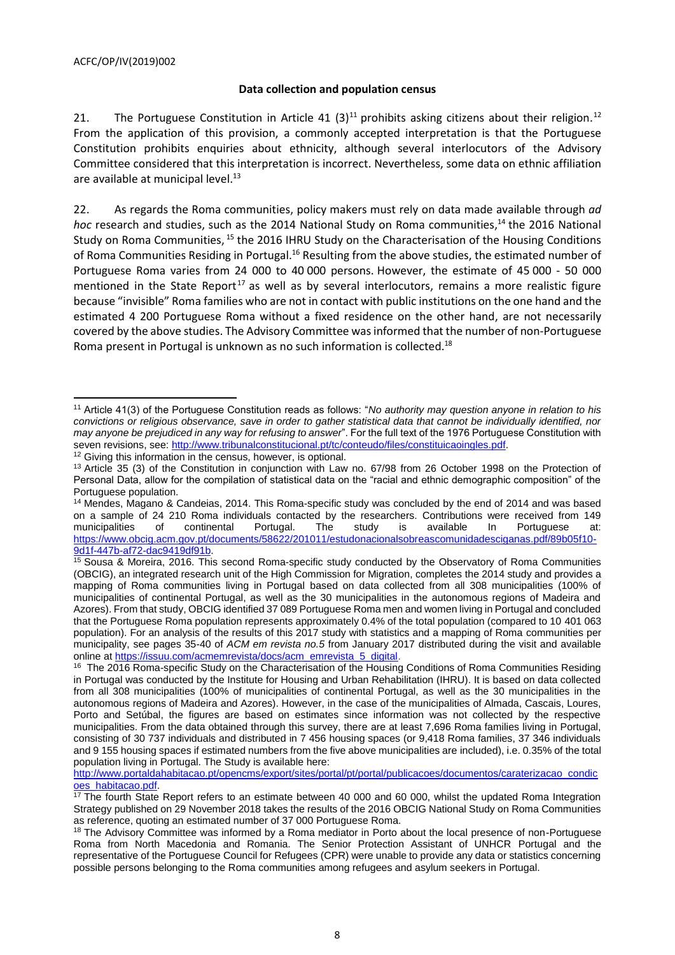### **Data collection and population census**

21. The Portuguese Constitution in Article 41 (3)<sup>11</sup> prohibits asking citizens about their religion.<sup>12</sup> From the application of this provision, a commonly accepted interpretation is that the Portuguese Constitution prohibits enquiries about ethnicity, although several interlocutors of the Advisory Committee considered that this interpretation is incorrect. Nevertheless, some data on ethnic affiliation are available at municipal level.<sup>13</sup>

22. As regards the Roma communities, policy makers must rely on data made available through *ad hoc* research and studies, such as the 2014 National Study on Roma communities, <sup>14</sup> the 2016 National Study on Roma Communities, <sup>15</sup> the 2016 IHRU Study on the Characterisation of the Housing Conditions of Roma Communities Residing in Portugal.<sup>16</sup> Resulting from the above studies, the estimated number of Portuguese Roma varies from 24 000 to 40 000 persons. However, the estimate of 45 000 - 50 000 mentioned in the State Report<sup>17</sup> as well as by several interlocutors, remains a more realistic figure because "invisible" Roma families who are not in contact with public institutions on the one hand and the estimated 4 200 Portuguese Roma without a fixed residence on the other hand, are not necessarily covered by the above studies. The Advisory Committee was informed that the number of non-Portuguese Roma present in Portugal is unknown as no such information is collected. $^{18}$ 

l <sup>11</sup> Article 41(3) of the Portuguese Constitution reads as follows: "*No authority may question anyone in relation to his convictions or religious observance, save in order to gather statistical data that cannot be individually identified, nor may anyone be prejudiced in any way for refusing to answer*". For the full text of the 1976 Portuguese Constitution with seven revisions, see: [http://www.tribunalconstitucional.pt/tc/conteudo/files/constituicaoingles.pdf.](http://www.tribunalconstitucional.pt/tc/conteudo/files/constituicaoingles.pdf)

<sup>&</sup>lt;sup>12</sup> Giving this information in the census, however, is optional.

<sup>&</sup>lt;sup>13</sup> Article 35 (3) of the Constitution in conjunction with Law no. 67/98 from 26 October 1998 on the Protection of Personal Data, allow for the compilation of statistical data on the "racial and ethnic demographic composition" of the Portuguese population.

<sup>14</sup> Mendes, Magano & Candeias, 2014. This Roma-specific study was concluded by the end of 2014 and was based on a sample of 24 210 Roma individuals contacted by the researchers. Contributions were received from 149 municipalities of continental Portugal. The study is available In Portuguese at: municipalities of continental Portugal. The study is available In Portuguese at: [https://www.obcig.acm.gov.pt/documents/58622/201011/estudonacionalsobreascomunidadesciganas.pdf/89b05f10-](https://www.obcig.acm.gov.pt/documents/58622/201011/estudonacionalsobreascomunidadesciganas.pdf/89b05f10-9d1f-447b-af72-dac9419df91b) [9d1f-447b-af72-dac9419df91b.](https://www.obcig.acm.gov.pt/documents/58622/201011/estudonacionalsobreascomunidadesciganas.pdf/89b05f10-9d1f-447b-af72-dac9419df91b)

<sup>15</sup> Sousa & Moreira, 2016. This second Roma-specific study conducted by the Observatory of Roma Communities (OBCIG), an integrated research unit of the High Commission for Migration, completes the 2014 study and provides a mapping of Roma communities living in Portugal based on data collected from all 308 municipalities (100% of municipalities of continental Portugal, as well as the 30 municipalities in the autonomous regions of Madeira and Azores). From that study, OBCIG identified 37 089 Portuguese Roma men and women living in Portugal and concluded that the Portuguese Roma population represents approximately 0.4% of the total population (compared to 10 401 063 population). For an analysis of the results of this 2017 study with statistics and a mapping of Roma communities per municipality, see pages 35-40 of *ACM em revista no.5* from January 2017 distributed during the visit and available online a[t https://issuu.com/acmemrevista/docs/acm\\_emrevista\\_5\\_digital.](https://issuu.com/acmemrevista/docs/acm_emrevista_5_digital)

<sup>&</sup>lt;sup>16</sup> The 2016 Roma-specific Study on the Characterisation of the Housing Conditions of Roma Communities Residing in Portugal was conducted by the Institute for Housing and Urban Rehabilitation (IHRU). It is based on data collected from all 308 municipalities (100% of municipalities of continental Portugal, as well as the 30 municipalities in the autonomous regions of Madeira and Azores). However, in the case of the municipalities of Almada, Cascais, Loures, Porto and Setúbal, the figures are based on estimates since information was not collected by the respective municipalities. From the data obtained through this survey, there are at least 7,696 Roma families living in Portugal, consisting of 30 737 individuals and distributed in 7 456 housing spaces (or 9,418 Roma families, 37 346 individuals and 9 155 housing spaces if estimated numbers from the five above municipalities are included), i.e. 0.35% of the total population living in Portugal. The Study is available here:

[http://www.portaldahabitacao.pt/opencms/export/sites/portal/pt/portal/publicacoes/documentos/caraterizacao\\_condic](http://www.portaldahabitacao.pt/opencms/export/sites/portal/pt/portal/publicacoes/documentos/caraterizacao_condicoes_habitacao.pdf) [oes\\_habitacao.pdf.](http://www.portaldahabitacao.pt/opencms/export/sites/portal/pt/portal/publicacoes/documentos/caraterizacao_condicoes_habitacao.pdf)

 $17$  The fourth State Report refers to an estimate between 40 000 and 60 000, whilst the updated Roma Integration Strategy published on 29 November 2018 takes the results of the 2016 OBCIG National Study on Roma Communities as reference, quoting an estimated number of 37 000 Portuguese Roma.

<sup>&</sup>lt;sup>18</sup> The Advisory Committee was informed by a Roma mediator in Porto about the local presence of non-Portuguese Roma from North Macedonia and Romania. The Senior Protection Assistant of UNHCR Portugal and the representative of the Portuguese Council for Refugees (CPR) were unable to provide any data or statistics concerning possible persons belonging to the Roma communities among refugees and asylum seekers in Portugal.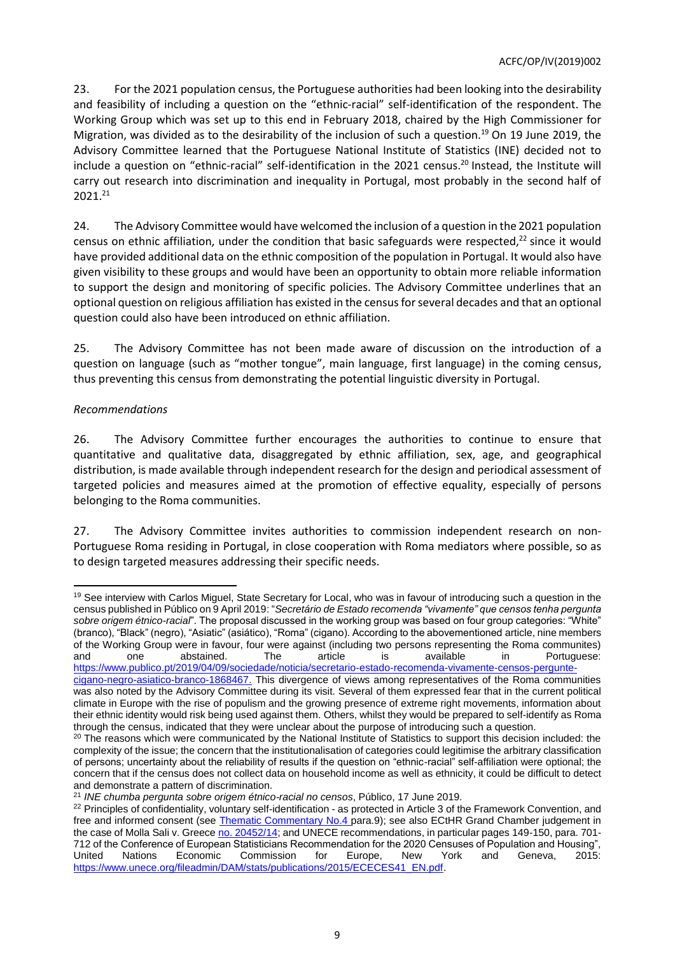23. For the 2021 population census, the Portuguese authorities had been looking into the desirability and feasibility of including a question on the "ethnic-racial" self-identification of the respondent. The Working Group which was set up to this end in February 2018, chaired by the High Commissioner for Migration, was divided as to the desirability of the inclusion of such a question.<sup>19</sup> On 19 June 2019, the Advisory Committee learned that the Portuguese National Institute of Statistics (INE) decided not to include a question on "ethnic-racial" self-identification in the 2021 census.<sup>20</sup> Instead, the Institute will carry out research into discrimination and inequality in Portugal, most probably in the second half of 2021.<sup>21</sup>

24. The Advisory Committee would have welcomed the inclusion of a question in the 2021 population census on ethnic affiliation, under the condition that basic safeguards were respected,<sup>22</sup> since it would have provided additional data on the ethnic composition of the population in Portugal. It would also have given visibility to these groups and would have been an opportunity to obtain more reliable information to support the design and monitoring of specific policies. The Advisory Committee underlines that an optional question on religious affiliation has existed in the census for several decades and that an optional question could also have been introduced on ethnic affiliation.

25. The Advisory Committee has not been made aware of discussion on the introduction of a question on language (such as "mother tongue", main language, first language) in the coming census, thus preventing this census from demonstrating the potential linguistic diversity in Portugal.

# *Recommendations*

26. The Advisory Committee further encourages the authorities to continue to ensure that quantitative and qualitative data, disaggregated by ethnic affiliation, sex, age, and geographical distribution, is made available through independent research for the design and periodical assessment of targeted policies and measures aimed at the promotion of effective equality, especially of persons belonging to the Roma communities.

27. The Advisory Committee invites authorities to commission independent research on non-Portuguese Roma residing in Portugal, in close cooperation with Roma mediators where possible, so as to design targeted measures addressing their specific needs.

l <sup>19</sup> See interview with Carlos Miguel, State Secretary for Local, who was in favour of introducing such a question in the census published in Público on 9 April 2019: "*Secretário de Estado recomenda "vivamente" que censos tenha pergunta sobre origem étnico-racial*". The proposal discussed in the working group was based on four group categories: "White" (branco), "Black" (negro), "Asiatic" (asiático), "Roma" (cigano). According to the abovementioned article, nine members of the Working Group were in favour, four were against (including two persons representing the Roma communites) and one abstained. The article is available in Portuguese: [https://www.publico.pt/2019/04/09/sociedade/noticia/secretario-estado-recomenda-vivamente-censos-pergunte-](https://www.publico.pt/2019/04/09/sociedade/noticia/secretario-estado-recomenda-vivamente-censos-pergunte-cigano-negro-asiatico-branco-1868467)

[cigano-negro-asiatico-branco-1868467.](https://www.publico.pt/2019/04/09/sociedade/noticia/secretario-estado-recomenda-vivamente-censos-pergunte-cigano-negro-asiatico-branco-1868467) This divergence of views among representatives of the Roma communities was also noted by the Advisory Committee during its visit. Several of them expressed fear that in the current political climate in Europe with the rise of populism and the growing presence of extreme right movements, information about their ethnic identity would risk being used against them. Others, whilst they would be prepared to self-identify as Roma through the census, indicated that they were unclear about the purpose of introducing such a question.

<sup>&</sup>lt;sup>20</sup> The reasons which were communicated by the National Institute of Statistics to support this decision included: the complexity of the issue; the concern that the institutionalisation of categories could legitimise the arbitrary classification of persons; uncertainty about the reliability of results if the question on "ethnic-racial" self-affiliation were optional; the concern that if the census does not collect data on household income as well as ethnicity, it could be difficult to detect and demonstrate a pattern of discrimination.

<sup>21</sup> *INE chumba pergunta sobre origem étnico-racial no censos*, Público, 17 June 2019.

<sup>&</sup>lt;sup>22</sup> Principles of confidentiality, voluntary self-identification - as protected in Article 3 of the Framework Convention, and free and informed consent (see [Thematic Commentary No.4](https://rm.coe.int/CoERMPublicCommonSearchServices/DisplayDCTMContent?documentId=09000016806a4811) para.9); see also ECtHR Grand Chamber judgement in the case of Molla Sali v. Greec[e no. 20452/14;](https://hudoc.echr.coe.int/eng#{%22itemid%22:[%22001-188985%22]}) and UNECE recommendations, in particular pages 149-150, para. 701-712 of the Conference of European Statisticians Recommendation for the 2020 Censuses of Population and Housing", United Nations Economic Commission for Europe, New York and Geneva, 2015: [https://www.unece.org/fileadmin/DAM/stats/publications/2015/ECECES41\\_EN.pdf.](https://www.unece.org/fileadmin/DAM/stats/publications/2015/ECECES41_EN.pdf)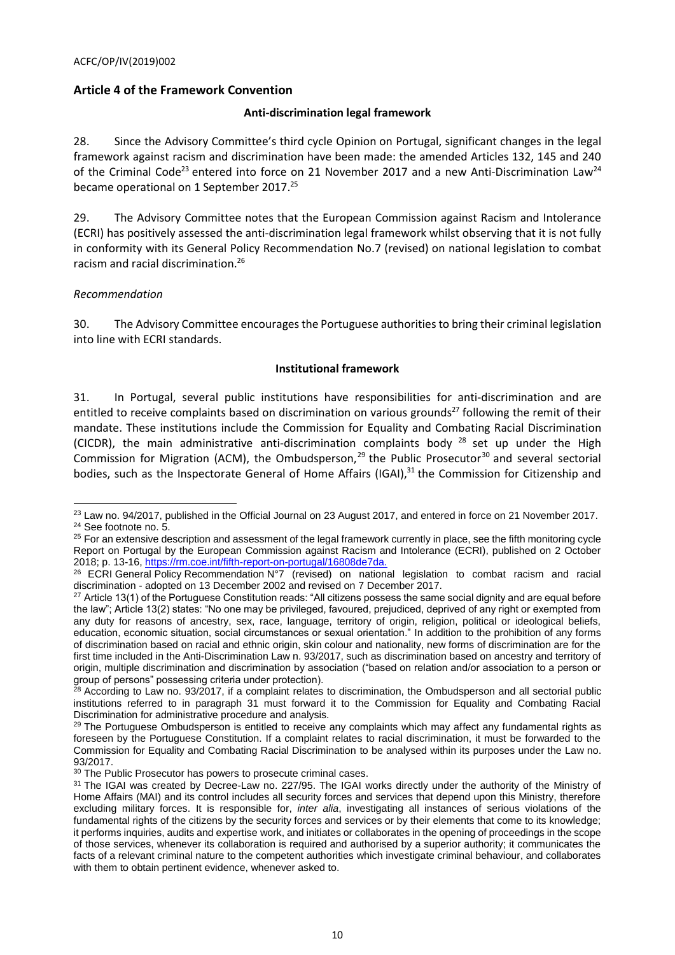## <span id="page-9-0"></span>**Article 4 of the Framework Convention**

### **Anti-discrimination legal framework**

28. Since the Advisory Committee's third cycle Opinion on Portugal, significant changes in the legal framework against racism and discrimination have been made: the amended Articles 132, 145 and 240 of the Criminal Code<sup>23</sup> entered into force on 21 November 2017 and a new Anti-Discrimination Law<sup>24</sup> became operational on 1 September 2017. 25

29. The Advisory Committee notes that the European Commission against Racism and Intolerance (ECRI) has positively assessed the anti-discrimination legal framework whilst observing that it is not fully in conformity with its General Policy Recommendation No.7 (revised) on national legislation to combat racism and racial discrimination. 26

### *Recommendation*

30. The Advisory Committee encourages the Portuguese authoritiesto bring their criminal legislation into line with ECRI standards.

### **Institutional framework**

31. In Portugal, several public institutions have responsibilities for anti-discrimination and are entitled to receive complaints based on discrimination on various grounds<sup>27</sup> following the remit of their mandate. These institutions include the Commission for Equality and Combating Racial Discrimination (CICDR), the main administrative anti-discrimination complaints body  $28$  set up under the High Commission for Migration (ACM), the Ombudsperson,<sup>29</sup> the Public Prosecutor<sup>30</sup> and several sectorial bodies, such as the Inspectorate General of Home Affairs (IGAI),<sup>31</sup> the Commission for Citizenship and

l  $^{23}$  Law no. 94/2017, published in the Official Journal on 23 August 2017, and entered in force on 21 November 2017. <sup>24</sup> See footnote no. 5.

<sup>&</sup>lt;sup>25</sup> For an extensive description and assessment of the legal framework currently in place, see the fifth monitoring cycle Report on Portugal by the European Commission against Racism and Intolerance (ECRI), published on 2 October 2018; p. 13-16, [https://rm.coe.int/fifth-report-on-portugal/16808de7da.](https://rm.coe.int/fifth-report-on-portugal/16808de7da)

<sup>&</sup>lt;sup>26</sup> ECRI General Policy Recommendation N°7 (revised) on national legislation to combat racism and racial discrimination - adopted on 13 December 2002 and revised on 7 December 2017.

 $27$  Article 13(1) of the Portuguese Constitution reads: "All citizens possess the same social dignity and are equal before the law"; Article 13(2) states: "No one may be privileged, favoured, prejudiced, deprived of any right or exempted from any duty for reasons of ancestry, sex, race, language, territory of origin, religion, political or ideological beliefs, education, economic situation, social circumstances or sexual orientation." In addition to the prohibition of any forms of discrimination based on racial and ethnic origin, skin colour and nationality, new forms of discrimination are for the first time included in the Anti-Discrimination Law n. 93/2017, such as discrimination based on ancestry and territory of origin, multiple discrimination and discrimination by association ("based on relation and/or association to a person or group of persons" possessing criteria under protection).

 $^{28}$  According to Law no. 93/2017, if a complaint relates to discrimination, the Ombudsperson and all sectorial public institutions referred to in paragraph 31 must forward it to the Commission for Equality and Combating Racial Discrimination for administrative procedure and analysis.

 $29$  The Portuguese Ombudsperson is entitled to receive any complaints which may affect any fundamental rights as foreseen by the Portuguese Constitution. If a complaint relates to racial discrimination, it must be forwarded to the Commission for Equality and Combating Racial Discrimination to be analysed within its purposes under the Law no. 93/2017.

<sup>&</sup>lt;sup>30</sup> The Public Prosecutor has powers to prosecute criminal cases.

<sup>&</sup>lt;sup>31</sup> The IGAI was created by Decree-Law no. 227/95. The IGAI works directly under the authority of the Ministry of Home Affairs (MAI) and its control includes all security forces and services that depend upon this Ministry, therefore excluding military forces. It is responsible for, *inter alia*, investigating all instances of serious violations of the fundamental rights of the citizens by the security forces and services or by their elements that come to its knowledge; it performs inquiries, audits and expertise work, and initiates or collaborates in the opening of proceedings in the scope of those services, whenever its collaboration is required and authorised by a superior authority; it communicates the facts of a relevant criminal nature to the competent authorities which investigate criminal behaviour, and collaborates with them to obtain pertinent evidence, whenever asked to.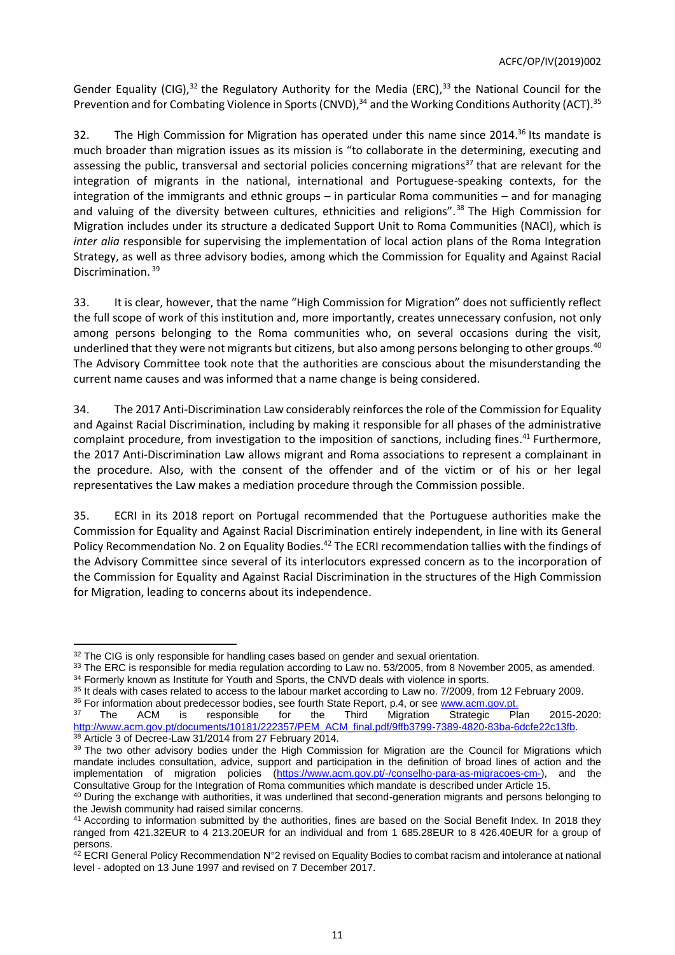Gender Equality (CIG),<sup>32</sup> the Regulatory Authority for the Media (ERC),<sup>33</sup> the National Council for the Prevention and for Combating Violence in Sports (CNVD),<sup>34</sup> and the Working Conditions Authority (ACT).<sup>35</sup>

32. The High Commission for Migration has operated under this name since 2014.<sup>36</sup> Its mandate is much broader than migration issues as its mission is "to collaborate in the determining, executing and assessing the public, transversal and sectorial policies concerning migrations<sup>37</sup> that are relevant for the integration of migrants in the national, international and Portuguese-speaking contexts, for the integration of the immigrants and ethnic groups – in particular Roma communities – and for managing and valuing of the diversity between cultures, ethnicities and religions". <sup>38</sup> The High Commission for Migration includes under its structure a dedicated Support Unit to Roma Communities (NACI), which is *inter alia* responsible for supervising the implementation of local action plans of the Roma Integration Strategy, as well as three advisory bodies, among which the Commission for Equality and Against Racial Discrimination. 39

33. It is clear, however, that the name "High Commission for Migration" does not sufficiently reflect the full scope of work of this institution and, more importantly, creates unnecessary confusion, not only among persons belonging to the Roma communities who, on several occasions during the visit, underlined that they were not migrants but citizens, but also among persons belonging to other groups. $^{40}$ The Advisory Committee took note that the authorities are conscious about the misunderstanding the current name causes and was informed that a name change is being considered.

34. The 2017 Anti-Discrimination Law considerably reinforces the role of the Commission for Equality and Against Racial Discrimination, including by making it responsible for all phases of the administrative complaint procedure, from investigation to the imposition of sanctions, including fines. <sup>41</sup> Furthermore, the 2017 Anti-Discrimination Law allows migrant and Roma associations to represent a complainant in the procedure. Also, with the consent of the offender and of the victim or of his or her legal representatives the Law makes a mediation procedure through the Commission possible.

35. ECRI in its 2018 report on Portugal recommended that the Portuguese authorities make the Commission for Equality and Against Racial Discrimination entirely independent, in line with its General Policy Recommendation No. 2 on Equality Bodies.<sup>42</sup> The ECRI recommendation tallies with the findings of the Advisory Committee since several of its interlocutors expressed concern as to the incorporation of the Commission for Equality and Against Racial Discrimination in the structures of the High Commission for Migration, leading to concerns about its independence.

<sup>36</sup> For information about predecessor bodies, see fourth State Report, p.4, or see [www.acm.gov.pt.](https://www.acm.gov.pt/-/alto-comissario-para-as-migracoes)<br><sup>37</sup> The ACM is responsible for the Third Migration Strategic Pl

 $\overline{a}$ <sup>32</sup> The CIG is only responsible for handling cases based on gender and sexual orientation.

<sup>33</sup> The ERC is responsible for media regulation according to Law no. 53/2005, from 8 November 2005, as amended. <sup>34</sup> Formerly known as Institute for Youth and Sports, the CNVD deals with violence in sports.

<sup>&</sup>lt;sup>35</sup> It deals with cases related to access to the labour market according to Law no. 7/2009, from 12 February 2009.

<sup>&</sup>lt;sup>37</sup> The ACM is responsible for the Third Migration Strategic Plan 2015-2020: [http://www.acm.gov.pt/documents/10181/222357/PEM\\_ACM\\_final.pdf/9ffb3799-7389-4820-83ba-6dcfe22c13fb.](http://www.acm.gov.pt/documents/10181/222357/PEM_ACM_final.pdf/9ffb3799-7389-4820-83ba-6dcfe22c13fb) <sup>38</sup> Article 3 of Decree-Law 31/2014 from 27 February 2014.

<sup>39</sup> The two other advisory bodies under the High Commission for Migration are the Council for Migrations which mandate includes consultation, advice, support and participation in the definition of broad lines of action and the implementation of migration policies [\(https://www.acm.gov.pt/-/conselho-para-as-migracoes-cm-\)](https://www.acm.gov.pt/-/conselho-para-as-migracoes-cm-), and the Consultative Group for the Integration of Roma communities which mandate is described under Article 15.

<sup>&</sup>lt;sup>40</sup> During the exchange with authorities, it was underlined that second-generation migrants and persons belonging to the Jewish community had raised similar concerns.

<sup>41</sup> According to information submitted by the authorities, fines are based on the Social Benefit Index. In 2018 they ranged from 421.32EUR to 4 213.20EUR for an individual and from 1 685.28EUR to 8 426.40EUR for a group of persons.

 $42$  ECRI General Policy Recommendation N°2 revised on Equality Bodies to combat racism and intolerance at national level - adopted on 13 June 1997 and revised on 7 December 2017.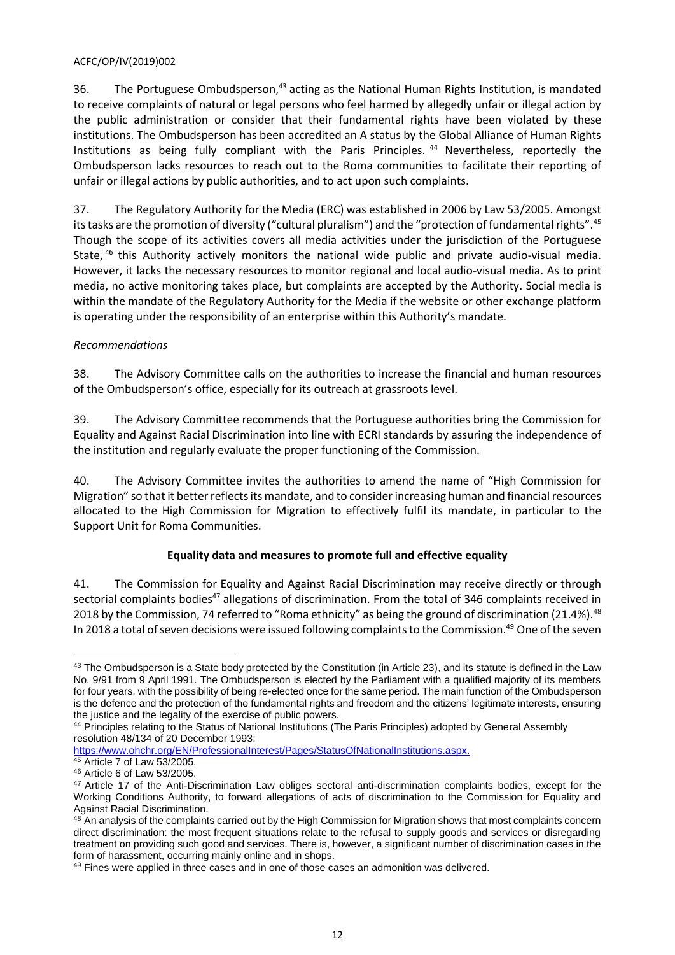36. The Portuguese Ombudsperson,<sup>43</sup> acting as the National Human Rights Institution, is mandated to receive complaints of natural or legal persons who feel harmed by allegedly unfair or illegal action by the public administration or consider that their fundamental rights have been violated by these institutions. The Ombudsperson has been accredited an A status by the Global Alliance of Human Rights Institutions as being fully compliant with the Paris Principles. <sup>44</sup> Nevertheless, reportedly the Ombudsperson lacks resources to reach out to the Roma communities to facilitate their reporting of unfair or illegal actions by public authorities, and to act upon such complaints.

37. The Regulatory Authority for the Media (ERC) was established in 2006 by Law 53/2005. Amongst its tasks are the promotion of diversity ("cultural pluralism") and the "protection of fundamental rights".<sup>45</sup> Though the scope of its activities covers all media activities under the jurisdiction of the Portuguese State, <sup>46</sup> this Authority actively monitors the national wide public and private audio-visual media. However, it lacks the necessary resources to monitor regional and local audio-visual media. As to print media, no active monitoring takes place, but complaints are accepted by the Authority. Social media is within the mandate of the Regulatory Authority for the Media if the website or other exchange platform is operating under the responsibility of an enterprise within this Authority's mandate.

## *Recommendations*

38. The Advisory Committee calls on the authorities to increase the financial and human resources of the Ombudsperson's office, especially for its outreach at grassroots level.

39. The Advisory Committee recommends that the Portuguese authorities bring the Commission for Equality and Against Racial Discrimination into line with ECRI standards by assuring the independence of the institution and regularly evaluate the proper functioning of the Commission.

40. The Advisory Committee invites the authorities to amend the name of "High Commission for Migration" so that it better reflects its mandate, and to consider increasing human and financial resources allocated to the High Commission for Migration to effectively fulfil its mandate, in particular to the Support Unit for Roma Communities.

## **Equality data and measures to promote full and effective equality**

41. The Commission for Equality and Against Racial Discrimination may receive directly or through sectorial complaints bodies<sup>47</sup> allegations of discrimination. From the total of 346 complaints received in 2018 by the Commission, 74 referred to "Roma ethnicity" as being the ground of discrimination (21.4%).<sup>48</sup> In 2018 a total of seven decisions were issued following complaints to the Commission. <sup>49</sup> One of the seven

 $\overline{a}$  $43$  The Ombudsperson is a State body protected by the Constitution (in Article 23), and its statute is defined in the Law No. 9/91 from 9 April 1991. The Ombudsperson is elected by the Parliament with a qualified majority of its members for four years, with the possibility of being re-elected once for the same period. The main function of the Ombudsperson is the defence and the protection of the fundamental rights and freedom and the citizens' legitimate interests, ensuring the justice and the legality of the exercise of public powers.

<sup>44</sup> Principles relating to the Status of National Institutions (The Paris Principles) adopted by General Assembly resolution 48/134 of 20 December 1993:

[https://www.ohchr.org/EN/ProfessionalInterest/Pages/StatusOfNationalInstitutions.aspx.](https://www.ohchr.org/EN/ProfessionalInterest/Pages/StatusOfNationalInstitutions.aspx)

<sup>45</sup> Article 7 of Law 53/2005.

<sup>46</sup> Article 6 of Law 53/2005.

<sup>&</sup>lt;sup>47</sup> Article 17 of the Anti-Discrimination Law obliges sectoral anti-discrimination complaints bodies, except for the Working Conditions Authority, to forward allegations of acts of discrimination to the Commission for Equality and Against Racial Discrimination.

<sup>&</sup>lt;sup>48</sup> An analysis of the complaints carried out by the High Commission for Migration shows that most complaints concern direct discrimination: the most frequent situations relate to the refusal to supply goods and services or disregarding treatment on providing such good and services. There is, however, a significant number of discrimination cases in the form of harassment, occurring mainly online and in shops.

<sup>49</sup> Fines were applied in three cases and in one of those cases an admonition was delivered.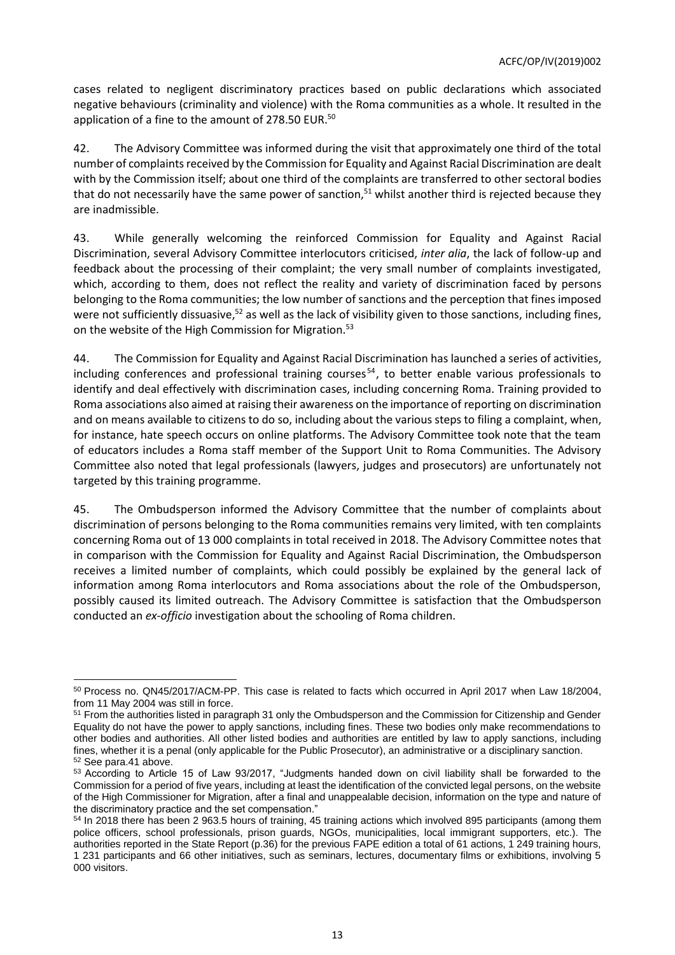cases related to negligent discriminatory practices based on public declarations which associated negative behaviours (criminality and violence) with the Roma communities as a whole. It resulted in the application of a fine to the amount of 278.50 EUR.<sup>50</sup>

42. The Advisory Committee was informed during the visit that approximately one third of the total number of complaints received by the Commission for Equality and Against Racial Discrimination are dealt with by the Commission itself; about one third of the complaints are transferred to other sectoral bodies that do not necessarily have the same power of sanction,<sup>51</sup> whilst another third is rejected because they are inadmissible.

43. While generally welcoming the reinforced Commission for Equality and Against Racial Discrimination, several Advisory Committee interlocutors criticised, *inter alia*, the lack of follow-up and feedback about the processing of their complaint; the very small number of complaints investigated, which, according to them, does not reflect the reality and variety of discrimination faced by persons belonging to the Roma communities; the low number of sanctions and the perception that fines imposed were not sufficiently dissuasive,<sup>52</sup> as well as the lack of visibility given to those sanctions, including fines, on the website of the High Commission for Migration.<sup>53</sup>

44. The Commission for Equality and Against Racial Discrimination has launched a series of activities, including conferences and professional training courses<sup>54</sup>, to better enable various professionals to identify and deal effectively with discrimination cases, including concerning Roma. Training provided to Roma associations also aimed at raising their awareness on the importance of reporting on discrimination and on means available to citizens to do so, including about the various steps to filing a complaint, when, for instance, hate speech occurs on online platforms. The Advisory Committee took note that the team of educators includes a Roma staff member of the Support Unit to Roma Communities. The Advisory Committee also noted that legal professionals (lawyers, judges and prosecutors) are unfortunately not targeted by this training programme.

45. The Ombudsperson informed the Advisory Committee that the number of complaints about discrimination of persons belonging to the Roma communities remains very limited, with ten complaints concerning Roma out of 13 000 complaints in total received in 2018. The Advisory Committee notes that in comparison with the Commission for Equality and Against Racial Discrimination, the Ombudsperson receives a limited number of complaints, which could possibly be explained by the general lack of information among Roma interlocutors and Roma associations about the role of the Ombudsperson, possibly caused its limited outreach. The Advisory Committee is satisfaction that the Ombudsperson conducted an *ex-officio* investigation about the schooling of Roma children.

 $\overline{a}$  $^{50}$  Process no. QN45/2017/ACM-PP. This case is related to facts which occurred in April 2017 when Law 18/2004, from 11 May 2004 was still in force.

<sup>51</sup> From the authorities listed in paragraph 31 only the Ombudsperson and the Commission for Citizenship and Gender Equality do not have the power to apply sanctions, including fines. These two bodies only make recommendations to other bodies and authorities. All other listed bodies and authorities are entitled by law to apply sanctions, including fines, whether it is a penal (only applicable for the Public Prosecutor), an administrative or a disciplinary sanction. <sup>52</sup> See para.41 above.

<sup>53</sup> According to Article 15 of Law 93/2017, "Judgments handed down on civil liability shall be forwarded to the Commission for a period of five years, including at least the identification of the convicted legal persons, on the website of the High Commissioner for Migration, after a final and unappealable decision, information on the type and nature of the discriminatory practice and the set compensation."

<sup>54</sup> In 2018 there has been 2 963.5 hours of training, 45 training actions which involved 895 participants (among them police officers, school professionals, prison guards, NGOs, municipalities, local immigrant supporters, etc.). The authorities reported in the State Report (p.36) for the previous FAPE edition a total of 61 actions, 1 249 training hours, 1 231 participants and 66 other initiatives, such as seminars, lectures, documentary films or exhibitions, involving 5 000 visitors.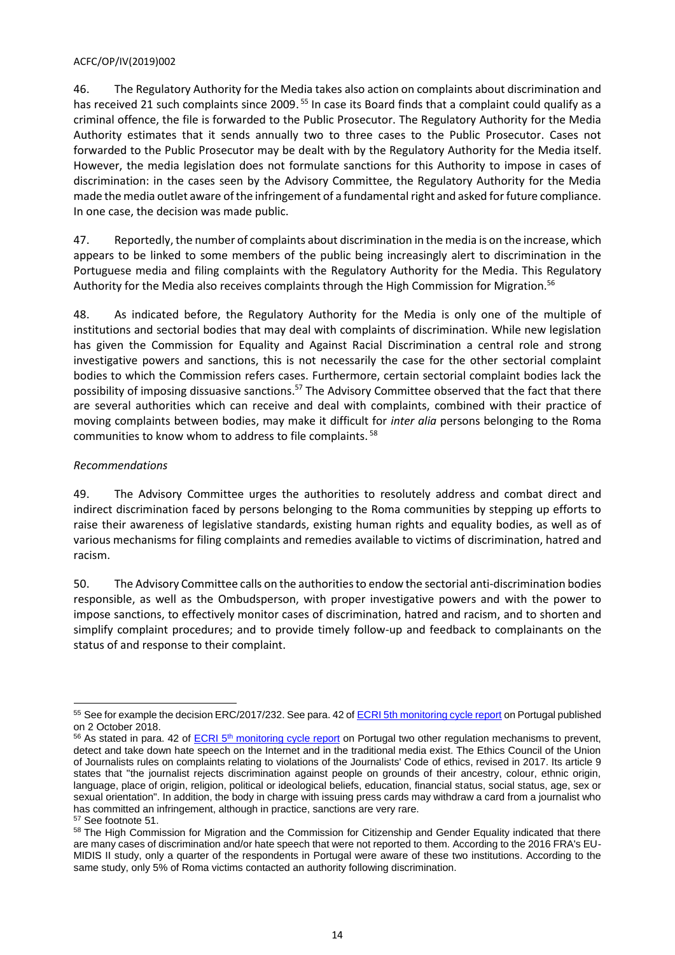46. The Regulatory Authority for the Media takes also action on complaints about discrimination and has received 21 such complaints since 2009.<sup>55</sup> In case its Board finds that a complaint could qualify as a criminal offence, the file is forwarded to the Public Prosecutor. The Regulatory Authority for the Media Authority estimates that it sends annually two to three cases to the Public Prosecutor. Cases not forwarded to the Public Prosecutor may be dealt with by the Regulatory Authority for the Media itself. However, the media legislation does not formulate sanctions for this Authority to impose in cases of discrimination: in the cases seen by the Advisory Committee, the Regulatory Authority for the Media made the media outlet aware of the infringement of a fundamental right and asked for future compliance. In one case, the decision was made public.

47. Reportedly, the number of complaints about discrimination in the media is on the increase, which appears to be linked to some members of the public being increasingly alert to discrimination in the Portuguese media and filing complaints with the Regulatory Authority for the Media. This Regulatory Authority for the Media also receives complaints through the High Commission for Migration.<sup>56</sup>

48. As indicated before, the Regulatory Authority for the Media is only one of the multiple of institutions and sectorial bodies that may deal with complaints of discrimination. While new legislation has given the Commission for Equality and Against Racial Discrimination a central role and strong investigative powers and sanctions, this is not necessarily the case for the other sectorial complaint bodies to which the Commission refers cases. Furthermore, certain sectorial complaint bodies lack the possibility of imposing dissuasive sanctions.<sup>57</sup> The Advisory Committee observed that the fact that there are several authorities which can receive and deal with complaints, combined with their practice of moving complaints between bodies, may make it difficult for *inter alia* persons belonging to the Roma communities to know whom to address to file complaints. 58

## *Recommendations*

49. The Advisory Committee urges the authorities to resolutely address and combat direct and indirect discrimination faced by persons belonging to the Roma communities by stepping up efforts to raise their awareness of legislative standards, existing human rights and equality bodies, as well as of various mechanisms for filing complaints and remedies available to victims of discrimination, hatred and racism.

50. The Advisory Committee calls on the authorities to endow the sectorial anti-discrimination bodies responsible, as well as the Ombudsperson, with proper investigative powers and with the power to impose sanctions, to effectively monitor cases of discrimination, hatred and racism, and to shorten and simplify complaint procedures; and to provide timely follow-up and feedback to complainants on the status of and response to their complaint.

l 55 See for example the decision ERC/2017/232. See para. 42 of [ECRI 5th monitoring cycle report](https://rm.coe.int/fifth-report-on-portugal/16808de7da) on Portugal published on 2 October 2018.

<sup>&</sup>lt;sup>56</sup> As stated in para. 42 of ECRI 5<sup>th</sup> [monitoring cycle report](https://rm.coe.int/fifth-report-on-portugal/16808de7da) on Portugal two other regulation mechanisms to prevent, detect and take down hate speech on the Internet and in the traditional media exist. The Ethics Council of the Union of Journalists rules on complaints relating to violations of the Journalists' Code of ethics, revised in 2017. Its article 9 states that "the journalist rejects discrimination against people on grounds of their ancestry, colour, ethnic origin, language, place of origin, religion, political or ideological beliefs, education, financial status, social status, age, sex or sexual orientation". In addition, the body in charge with issuing press cards may withdraw a card from a journalist who has committed an infringement, although in practice, sanctions are very rare.

<sup>57</sup> See footnote 51.

<sup>58</sup> The High Commission for Migration and the Commission for Citizenship and Gender Equality indicated that there are many cases of discrimination and/or hate speech that were not reported to them. According to the 2016 FRA's EU-MIDIS II study, only a quarter of the respondents in Portugal were aware of these two institutions. According to the same study, only 5% of Roma victims contacted an authority following discrimination.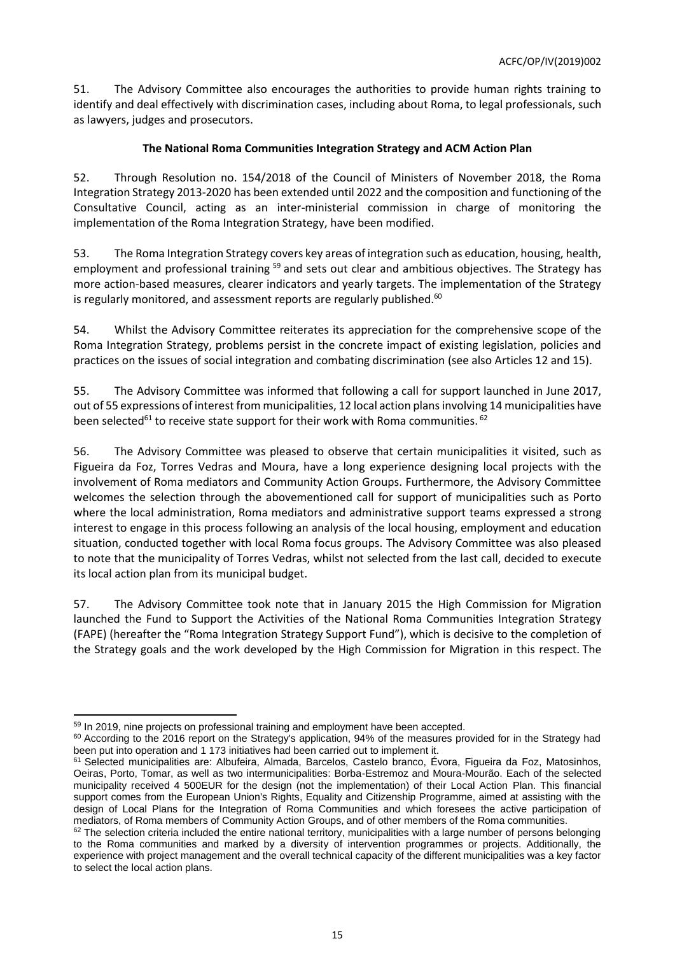51. The Advisory Committee also encourages the authorities to provide human rights training to identify and deal effectively with discrimination cases, including about Roma, to legal professionals, such as lawyers, judges and prosecutors.

### **The National Roma Communities Integration Strategy and ACM Action Plan**

52. Through Resolution no. 154/2018 of the Council of Ministers of November 2018, the Roma Integration Strategy 2013-2020 has been extended until 2022 and the composition and functioning of the Consultative Council, acting as an inter-ministerial commission in charge of monitoring the implementation of the Roma Integration Strategy, have been modified.

53. The Roma Integration Strategy covers key areas of integration such as education, housing, health, employment and professional training<sup>59</sup> and sets out clear and ambitious objectives. The Strategy has more action-based measures, clearer indicators and yearly targets. The implementation of the Strategy is regularly monitored, and assessment reports are regularly published. $^{60}$ 

54. Whilst the Advisory Committee reiterates its appreciation for the comprehensive scope of the Roma Integration Strategy, problems persist in the concrete impact of existing legislation, policies and practices on the issues of social integration and combating discrimination (see also Articles 12 and 15).

55. The Advisory Committee was informed that following a call for support launched in June 2017, out of 55 expressions of interest from municipalities, 12 local action plans involving 14 municipalities have been selected $^{61}$  to receive state support for their work with Roma communities.  $^{62}$ 

56. The Advisory Committee was pleased to observe that certain municipalities it visited, such as Figueira da Foz, Torres Vedras and Moura, have a long experience designing local projects with the involvement of Roma mediators and Community Action Groups. Furthermore, the Advisory Committee welcomes the selection through the abovementioned call for support of municipalities such as Porto where the local administration, Roma mediators and administrative support teams expressed a strong interest to engage in this process following an analysis of the local housing, employment and education situation, conducted together with local Roma focus groups. The Advisory Committee was also pleased to note that the municipality of Torres Vedras, whilst not selected from the last call, decided to execute its local action plan from its municipal budget.

57. The Advisory Committee took note that in January 2015 the High Commission for Migration launched the Fund to Support the Activities of the National Roma Communities Integration Strategy (FAPE) (hereafter the "Roma Integration Strategy Support Fund"), which is decisive to the completion of the Strategy goals and the work developed by the High Commission for Migration in this respect. The

 $\overline{a}$ 59 In 2019, nine projects on professional training and employment have been accepted.

<sup>&</sup>lt;sup>60</sup> According to the 2016 report on the Strategy's application, 94% of the measures provided for in the Strategy had been put into operation and 1 173 initiatives had been carried out to implement it.

<sup>&</sup>lt;sup>61</sup> Selected municipalities are: Albufeira, Almada, Barcelos, Castelo branco, Évora, Figueira da Foz, Matosinhos, Oeiras, Porto, Tomar, as well as two intermunicipalities: Borba-Estremoz and Moura-Mourão. Each of the selected municipality received 4 500EUR for the design (not the implementation) of their Local Action Plan. This financial support comes from the European Union's Rights, Equality and Citizenship Programme, aimed at assisting with the design of Local Plans for the Integration of Roma Communities and which foresees the active participation of mediators, of Roma members of Community Action Groups, and of other members of the Roma communities.

 $62$  The selection criteria included the entire national territory, municipalities with a large number of persons belonging to the Roma communities and marked by a diversity of intervention programmes or projects. Additionally, the experience with project management and the overall technical capacity of the different municipalities was a key factor to select the local action plans.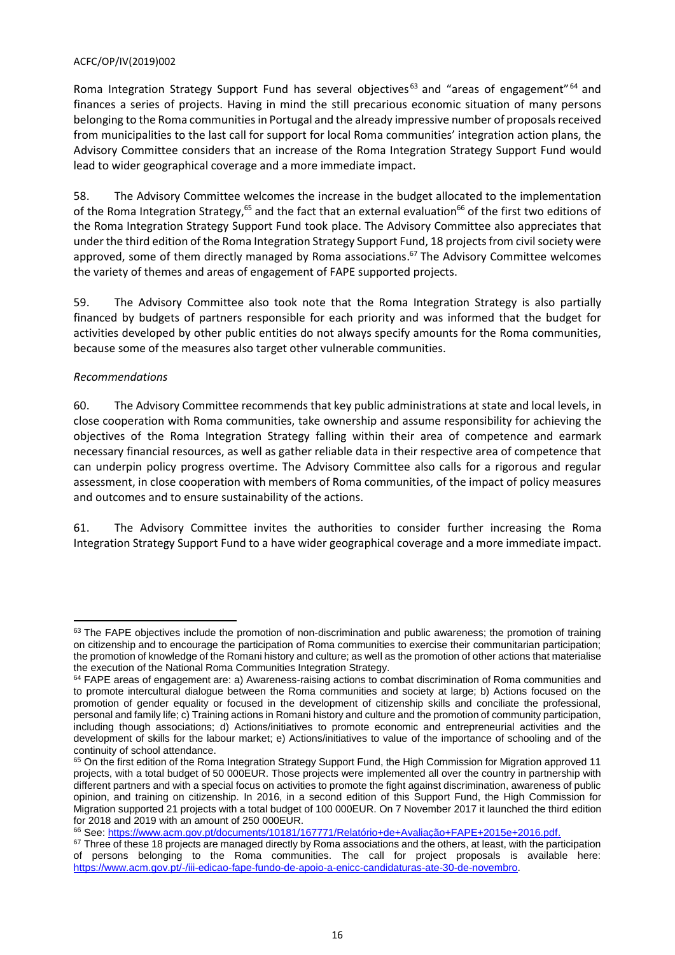Roma Integration Strategy Support Fund has several objectives<sup>63</sup> and "areas of engagement"<sup>64</sup> and finances a series of projects. Having in mind the still precarious economic situation of many persons belonging to the Roma communities in Portugal and the already impressive number of proposals received from municipalities to the last call for support for local Roma communities' integration action plans, the Advisory Committee considers that an increase of the Roma Integration Strategy Support Fund would lead to wider geographical coverage and a more immediate impact.

58. The Advisory Committee welcomes the increase in the budget allocated to the implementation of the Roma Integration Strategy,<sup>65</sup> and the fact that an external evaluation<sup>66</sup> of the first two editions of the Roma Integration Strategy Support Fund took place. The Advisory Committee also appreciates that under the third edition of the Roma Integration Strategy Support Fund, 18 projects from civil society were approved, some of them directly managed by Roma associations. <sup>67</sup> The Advisory Committee welcomes the variety of themes and areas of engagement of FAPE supported projects.

59. The Advisory Committee also took note that the Roma Integration Strategy is also partially financed by budgets of partners responsible for each priority and was informed that the budget for activities developed by other public entities do not always specify amounts for the Roma communities, because some of the measures also target other vulnerable communities.

### *Recommendations*

60. The Advisory Committee recommends that key public administrations at state and local levels, in close cooperation with Roma communities, take ownership and assume responsibility for achieving the objectives of the Roma Integration Strategy falling within their area of competence and earmark necessary financial resources, as well as gather reliable data in their respective area of competence that can underpin policy progress overtime. The Advisory Committee also calls for a rigorous and regular assessment, in close cooperation with members of Roma communities, of the impact of policy measures and outcomes and to ensure sustainability of the actions.

61. The Advisory Committee invites the authorities to consider further increasing the Roma Integration Strategy Support Fund to a have wider geographical coverage and a more immediate impact.

<sup>66</sup> See: [https://www.acm.gov.pt/documents/10181/167771/Relatório+de+Avaliação+FAPE+2015e+2016.pdf.](https://www.acm.gov.pt/documents/10181/167771/Relatório+de+Avaliação+FAPE+2015e+2016.pdf)

 $\overline{a}$ <sup>63</sup> The FAPE objectives include the promotion of non-discrimination and public awareness; the promotion of training on citizenship and to encourage the participation of Roma communities to exercise their communitarian participation; the promotion of knowledge of the Romani history and culture; as well as the promotion of other actions that materialise the execution of the National Roma Communities Integration Strategy.

<sup>64</sup> FAPE areas of engagement are: a) Awareness-raising actions to combat discrimination of Roma communities and to promote intercultural dialogue between the Roma communities and society at large; b) Actions focused on the promotion of gender equality or focused in the development of citizenship skills and conciliate the professional, personal and family life; c) Training actions in Romani history and culture and the promotion of community participation, including though associations; d) Actions/initiatives to promote economic and entrepreneurial activities and the development of skills for the labour market; e) Actions/initiatives to value of the importance of schooling and of the continuity of school attendance.

<sup>&</sup>lt;sup>65</sup> On the first edition of the Roma Integration Strategy Support Fund, the High Commission for Migration approved 11 projects, with a total budget of 50 000EUR. Those projects were implemented all over the country in partnership with different partners and with a special focus on activities to promote the fight against discrimination, awareness of public opinion, and training on citizenship. In 2016, in a second edition of this Support Fund, the High Commission for Migration supported 21 projects with a total budget of 100 000EUR. On 7 November 2017 it launched the third edition for 2018 and 2019 with an amount of 250 000EUR.

 $67$  Three of these 18 projects are managed directly by Roma associations and the others, at least, with the participation of persons belonging to the Roma communities. The call for project proposals is available here: [https://www.acm.gov.pt/-/iii-edicao-fape-fundo-de-apoio-a-enicc-candidaturas-ate-30-de-novembro.](https://www.acm.gov.pt/-/iii-edicao-fape-fundo-de-apoio-a-enicc-candidaturas-ate-30-de-novembro)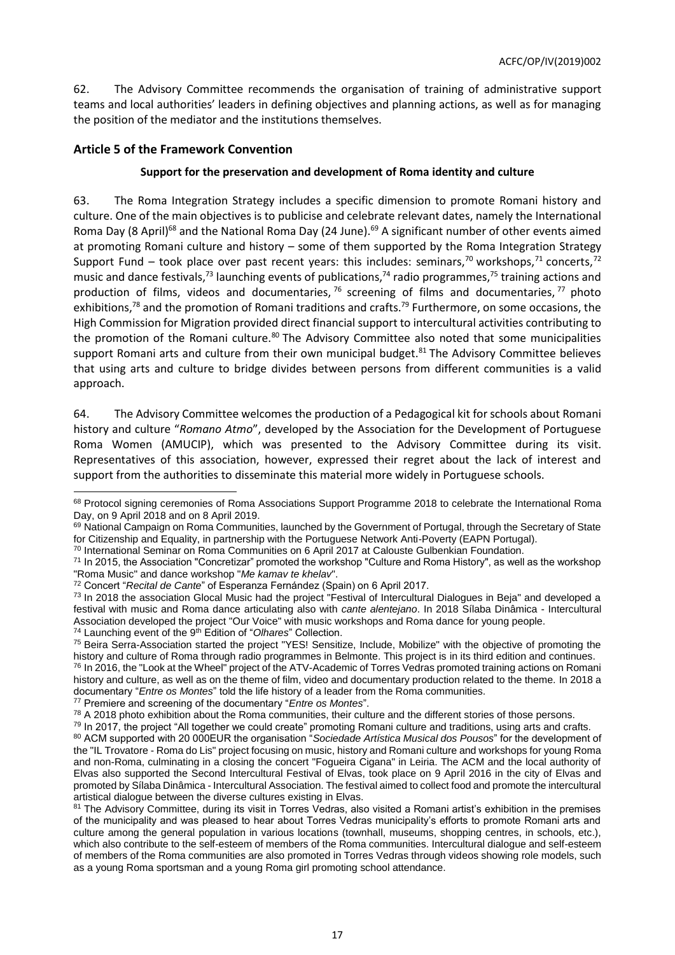62. The Advisory Committee recommends the organisation of training of administrative support teams and local authorities' leaders in defining objectives and planning actions, as well as for managing the position of the mediator and the institutions themselves.

## <span id="page-16-0"></span>**Article 5 of the Framework Convention**

## **Support for the preservation and development of Roma identity and culture**

63. The Roma Integration Strategy includes a specific dimension to promote Romani history and culture. One of the main objectives is to publicise and celebrate relevant dates, namely the International Roma Day (8 April)<sup>68</sup> and the National Roma Day (24 June).<sup>69</sup> A significant number of other events aimed at promoting Romani culture and history – some of them supported by the Roma Integration Strategy Support Fund – took place over past recent years: this includes: seminars,<sup>70</sup> workshops,<sup>71</sup> concerts,<sup>72</sup> music and dance festivals,<sup>73</sup> launching events of publications,<sup>74</sup> radio programmes,<sup>75</sup> training actions and production of films, videos and documentaries,  $76$  screening of films and documentaries,  $77$  photo exhibitions,<sup>78</sup> and the promotion of Romani traditions and crafts.<sup>79</sup> Furthermore, on some occasions, the High Commission for Migration provided direct financial support to intercultural activities contributing to the promotion of the Romani culture.<sup>80</sup> The Advisory Committee also noted that some municipalities support Romani arts and culture from their own municipal budget.<sup>81</sup> The Advisory Committee believes that using arts and culture to bridge divides between persons from different communities is a valid approach.

64. The Advisory Committee welcomes the production of a Pedagogical kit for schools about Romani history and culture "*Romano Atmo*", developed by the Association for the Development of Portuguese Roma Women (AMUCIP), which was presented to the Advisory Committee during its visit. Representatives of this association, however, expressed their regret about the lack of interest and support from the authorities to disseminate this material more widely in Portuguese schools.

<sup>70</sup> International Seminar on Roma Communities on 6 April 2017 at Calouste Gulbenkian Foundation.

<sup>77</sup> Premiere and screening of the documentary "*Entre os Montes*".

l 68 Protocol signing ceremonies of Roma Associations Support Programme 2018 to celebrate the International Roma Day, on 9 April 2018 and on 8 April 2019.

<sup>69</sup> National Campaign on Roma Communities, launched by the Government of Portugal, through the Secretary of State for Citizenship and Equality, in partnership with the Portuguese Network Anti-Poverty (EAPN Portugal).

<sup>&</sup>lt;sup>71</sup> In 2015, the Association "Concretizar" promoted the workshop "Culture and Roma History", as well as the workshop "Roma Music" and dance workshop "*Me kamav te khelav*".

<sup>72</sup> Concert "*Recital de Cante*" of Esperanza Fernández (Spain) on 6 April 2017.

<sup>&</sup>lt;sup>73</sup> In 2018 the association Glocal Music had the project "Festival of Intercultural Dialogues in Beja" and developed a festival with music and Roma dance articulating also with *cante alentejano*. In 2018 Sílaba Dinâmica - Intercultural Association developed the project "Our Voice" with music workshops and Roma dance for young people. <sup>74</sup> Launching event of the 9th Edition of "*Olhares*" Collection.

<sup>&</sup>lt;sup>75</sup> Beira Serra-Association started the project "YES! Sensitize, Include, Mobilize" with the objective of promoting the history and culture of Roma through radio programmes in Belmonte. This project is in its third edition and continues.  $76$  In 2016, the "Look at the Wheel" project of the ATV-Academic of Torres Vedras promoted training actions on Romani history and culture, as well as on the theme of film, video and documentary production related to the theme. In 2018 a documentary "*Entre os Montes*" told the life history of a leader from the Roma communities.

<sup>&</sup>lt;sup>78</sup> A 2018 photo exhibition about the Roma communities, their culture and the different stories of those persons.

<sup>&</sup>lt;sup>79</sup> In 2017, the project "All together we could create" promoting Romani culture and traditions, using arts and crafts. <sup>80</sup> ACM supported with 20 000EUR the organisation "*Sociedade Artística Musical dos Pousos*" for the development of the "IL Trovatore - Roma do Lis" project focusing on music, history and Romani culture and workshops for young Roma and non-Roma, culminating in a closing the concert "Fogueira Cigana" in Leiria. The ACM and the local authority of Elvas also supported the Second Intercultural Festival of Elvas, took place on 9 April 2016 in the city of Elvas and promoted by Sílaba Dinâmica - Intercultural Association. The festival aimed to collect food and promote the intercultural artistical dialogue between the diverse cultures existing in Elvas.

<sup>81</sup> The Advisory Committee, during its visit in Torres Vedras, also visited a Romani artist's exhibition in the premises of the municipality and was pleased to hear about Torres Vedras municipality's efforts to promote Romani arts and culture among the general population in various locations (townhall, museums, shopping centres, in schools, etc.), which also contribute to the self-esteem of members of the Roma communities. Intercultural dialogue and self-esteem of members of the Roma communities are also promoted in Torres Vedras through videos showing role models, such as a young Roma sportsman and a young Roma girl promoting school attendance.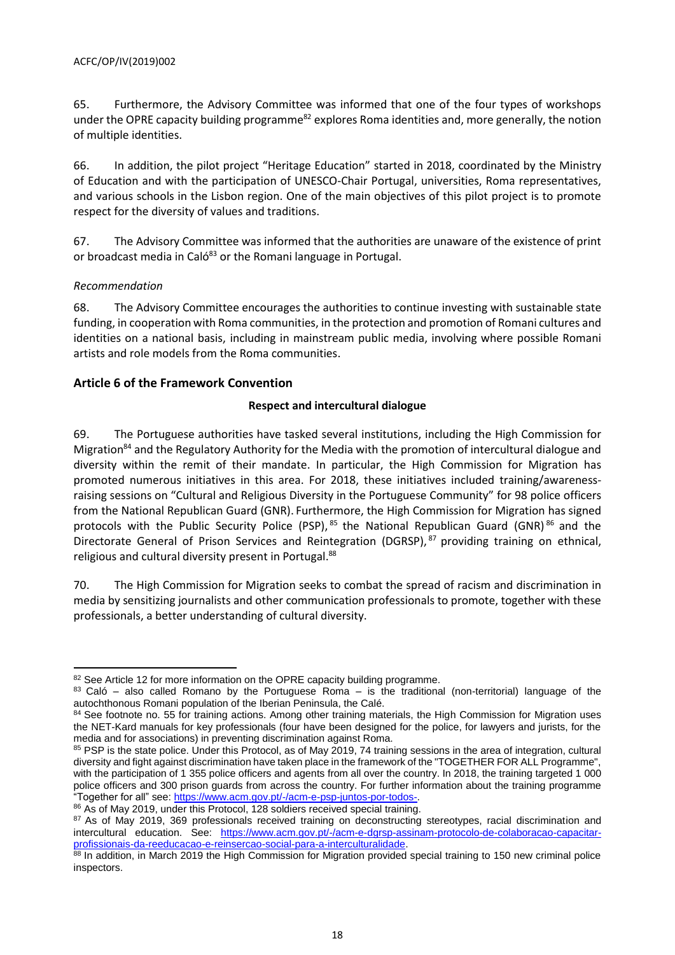65. Furthermore, the Advisory Committee was informed that one of the four types of workshops under the OPRE capacity building programme<sup>82</sup> explores Roma identities and, more generally, the notion of multiple identities.

66. In addition, the pilot project "Heritage Education" started in 2018, coordinated by the Ministry of Education and with the participation of UNESCO-Chair Portugal, universities, Roma representatives, and various schools in the Lisbon region. One of the main objectives of this pilot project is to promote respect for the diversity of values and traditions.

67. The Advisory Committee was informed that the authorities are unaware of the existence of print or broadcast media in Caló<sup>83</sup> or the Romani language in Portugal.

### *Recommendation*

68. The Advisory Committee encourages the authorities to continue investing with sustainable state funding, in cooperation with Roma communities, in the protection and promotion of Romani cultures and identities on a national basis, including in mainstream public media, involving where possible Romani artists and role models from the Roma communities.

## <span id="page-17-0"></span>**Article 6 of the Framework Convention**

### **Respect and intercultural dialogue**

69. The Portuguese authorities have tasked several institutions, including the High Commission for Migration<sup>84</sup> and the Regulatory Authority for the Media with the promotion of intercultural dialogue and diversity within the remit of their mandate. In particular, the High Commission for Migration has promoted numerous initiatives in this area. For 2018, these initiatives included training/awarenessraising sessions on "Cultural and Religious Diversity in the Portuguese Community" for 98 police officers from the National Republican Guard (GNR). Furthermore, the High Commission for Migration has signed protocols with the Public Security Police (PSP), <sup>85</sup> the National Republican Guard (GNR) <sup>86</sup> and the Directorate General of Prison Services and Reintegration (DGRSP), <sup>87</sup> providing training on ethnical, religious and cultural diversity present in Portugal.<sup>88</sup>

70. The High Commission for Migration seeks to combat the spread of racism and discrimination in media by sensitizing journalists and other communication professionals to promote, together with these professionals, a better understanding of cultural diversity.

l  $82$  See Article 12 for more information on the OPRE capacity building programme.

<sup>83</sup> Caló – also called Romano by the Portuguese Roma – is the traditional (non-territorial) language of the autochthonous Romani population of the Iberian Peninsula, the Calé.

<sup>84</sup> See footnote no. 55 for training actions. Among other training materials, the High Commission for Migration uses the NET-Kard manuals for key professionals (four have been designed for the police, for lawyers and jurists, for the media and for associations) in preventing discrimination against Roma.

<sup>85</sup> PSP is the state police. Under this Protocol, as of May 2019, 74 training sessions in the area of integration, cultural diversity and fight against discrimination have taken place in the framework of the "TOGETHER FOR ALL Programme", with the participation of 1 355 police officers and agents from all over the country. In 2018, the training targeted 1 000 police officers and 300 prison guards from across the country. For further information about the training programme "Together for all" see: <u>https://www.acm.gov.pt/-/acm-e-psp-juntos-por-todos-</u>.

<sup>86</sup> As of May 2019, under this Protocol, 128 soldiers received special training.

<sup>87</sup> As of May 2019, 369 professionals received training on deconstructing stereotypes, racial discrimination and intercultural education. See: [https://www.acm.gov.pt/-/acm-e-dgrsp-assinam-protocolo-de-colaboracao-capacitar](https://www.acm.gov.pt/-/acm-e-dgrsp-assinam-protocolo-de-colaboracao-capacitar-profissionais-da-reeducacao-e-reinsercao-social-para-a-interculturalidade)[profissionais-da-reeducacao-e-reinsercao-social-para-a-interculturalidade.](https://www.acm.gov.pt/-/acm-e-dgrsp-assinam-protocolo-de-colaboracao-capacitar-profissionais-da-reeducacao-e-reinsercao-social-para-a-interculturalidade)

<sup>88</sup> In addition, in March 2019 the High Commission for Migration provided special training to 150 new criminal police inspectors.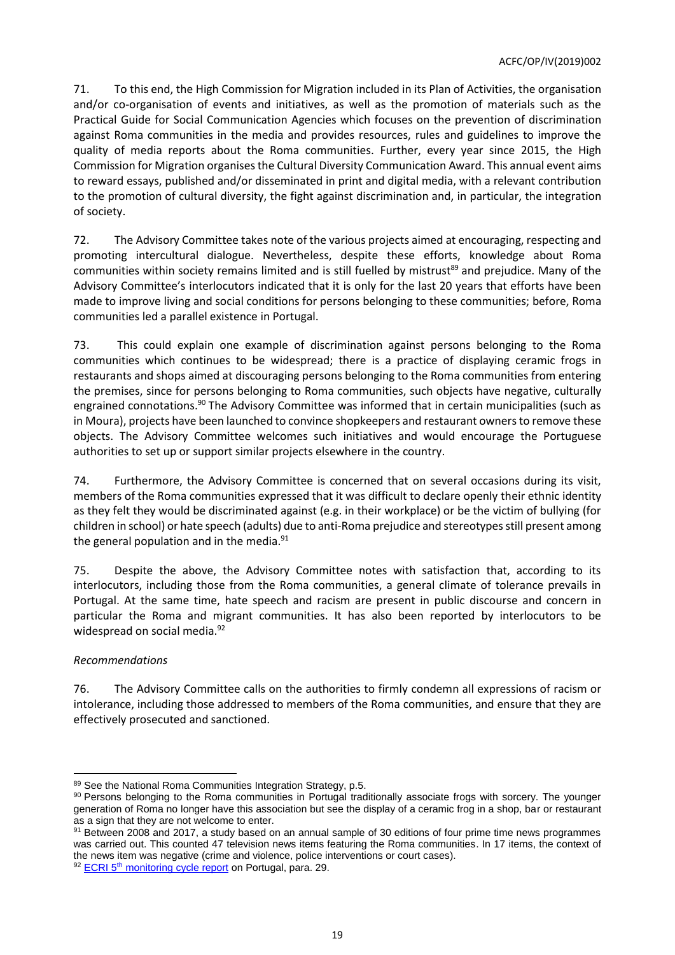71. To this end, the High Commission for Migration included in its Plan of Activities, the organisation and/or co-organisation of events and initiatives, as well as the promotion of materials such as the Practical Guide for Social Communication Agencies which focuses on the prevention of discrimination against Roma communities in the media and provides resources, rules and guidelines to improve the quality of media reports about the Roma communities. Further, every year since 2015, the High Commission for Migration organises the Cultural Diversity Communication Award. This annual event aims to reward essays, published and/or disseminated in print and digital media, with a relevant contribution to the promotion of cultural diversity, the fight against discrimination and, in particular, the integration of society.

72. The Advisory Committee takes note of the various projects aimed at encouraging, respecting and promoting intercultural dialogue. Nevertheless, despite these efforts, knowledge about Roma communities within society remains limited and is still fuelled by mistrust<sup>89</sup> and prejudice. Many of the Advisory Committee's interlocutors indicated that it is only for the last 20 years that efforts have been made to improve living and social conditions for persons belonging to these communities; before, Roma communities led a parallel existence in Portugal.

73. This could explain one example of discrimination against persons belonging to the Roma communities which continues to be widespread; there is a practice of displaying ceramic frogs in restaurants and shops aimed at discouraging persons belonging to the Roma communities from entering the premises, since for persons belonging to Roma communities, such objects have negative, culturally engrained connotations.<sup>90</sup> The Advisory Committee was informed that in certain municipalities (such as in Moura), projects have been launched to convince shopkeepers and restaurant owners to remove these objects. The Advisory Committee welcomes such initiatives and would encourage the Portuguese authorities to set up or support similar projects elsewhere in the country.

74. Furthermore, the Advisory Committee is concerned that on several occasions during its visit, members of the Roma communities expressed that it was difficult to declare openly their ethnic identity as they felt they would be discriminated against (e.g. in their workplace) or be the victim of bullying (for children in school) or hate speech (adults) due to anti-Roma prejudice and stereotypes still present among the general population and in the media.<sup>91</sup>

75. Despite the above, the Advisory Committee notes with satisfaction that, according to its interlocutors, including those from the Roma communities, a general climate of tolerance prevails in Portugal. At the same time, hate speech and racism are present in public discourse and concern in particular the Roma and migrant communities. It has also been reported by interlocutors to be widespread on social media.<sup>92</sup>

### *Recommendations*

76. The Advisory Committee calls on the authorities to firmly condemn all expressions of racism or intolerance, including those addressed to members of the Roma communities, and ensure that they are effectively prosecuted and sanctioned.

 $\overline{a}$ 89 See the National Roma Communities Integration Strategy, p.5.

<sup>90</sup> Persons belonging to the Roma communities in Portugal traditionally associate frogs with sorcery. The younger generation of Roma no longer have this association but see the display of a ceramic frog in a shop, bar or restaurant as a sign that they are not welcome to enter.

<sup>91</sup> Between 2008 and 2017, a study based on an annual sample of 30 editions of four prime time news programmes was carried out. This counted 47 television news items featuring the Roma communities. In 17 items, the context of the news item was negative (crime and violence, police interventions or court cases).

<sup>92</sup> ECRI 5<sup>th</sup> [monitoring cycle report](https://rm.coe.int/fifth-report-on-portugal/16808de7da) on Portugal, para. 29.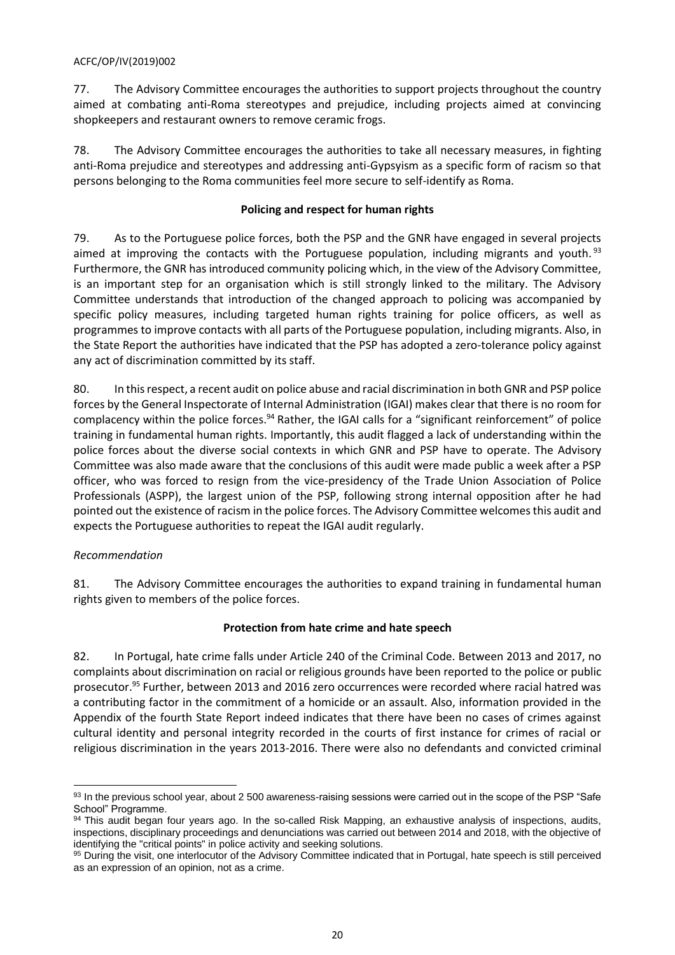77. The Advisory Committee encourages the authorities to support projects throughout the country aimed at combating anti-Roma stereotypes and prejudice, including projects aimed at convincing shopkeepers and restaurant owners to remove ceramic frogs.

78. The Advisory Committee encourages the authorities to take all necessary measures, in fighting anti-Roma prejudice and stereotypes and addressing anti-Gypsyism as a specific form of racism so that persons belonging to the Roma communities feel more secure to self-identify as Roma.

## **Policing and respect for human rights**

79. As to the Portuguese police forces, both the PSP and the GNR have engaged in several projects aimed at improving the contacts with the Portuguese population, including migrants and youth.<sup>93</sup> Furthermore, the GNR has introduced community policing which, in the view of the Advisory Committee, is an important step for an organisation which is still strongly linked to the military. The Advisory Committee understands that introduction of the changed approach to policing was accompanied by specific policy measures, including targeted human rights training for police officers, as well as programmes to improve contacts with all parts of the Portuguese population, including migrants. Also, in the State Report the authorities have indicated that the PSP has adopted a zero-tolerance policy against any act of discrimination committed by its staff.

80. In this respect, a recent audit on police abuse and racial discrimination in both GNR and PSP police forces by the General Inspectorate of Internal Administration (IGAI) makes clear that there is no room for complacency within the police forces.<sup>94</sup> Rather, the IGAI calls for a "significant reinforcement" of police training in fundamental human rights. Importantly, this audit flagged a lack of understanding within the police forces about the diverse social contexts in which GNR and PSP have to operate. The Advisory Committee was also made aware that the conclusions of this audit were made public a week after a PSP officer, who was forced to resign from the vice-presidency of the Trade Union Association of Police Professionals (ASPP), the largest union of the PSP, following strong internal opposition after he had pointed out the existence of racism in the police forces. The Advisory Committee welcomes this audit and expects the Portuguese authorities to repeat the IGAI audit regularly.

## *Recommendation*

81. The Advisory Committee encourages the authorities to expand training in fundamental human rights given to members of the police forces.

### **Protection from hate crime and hate speech**

82. In Portugal, hate crime falls under Article 240 of the Criminal Code. Between 2013 and 2017, no complaints about discrimination on racial or religious grounds have been reported to the police or public prosecutor.<sup>95</sup> Further, between 2013 and 2016 zero occurrences were recorded where racial hatred was a contributing factor in the commitment of a homicide or an assault. Also, information provided in the Appendix of the fourth State Report indeed indicates that there have been no cases of crimes against cultural identity and personal integrity recorded in the courts of first instance for crimes of racial or religious discrimination in the years 2013-2016. There were also no defendants and convicted criminal

 $\overline{a}$ 93 In the previous school year, about 2 500 awareness-raising sessions were carried out in the scope of the PSP "Safe School" Programme.

<sup>94</sup> This audit began four years ago. In the so-called Risk Mapping, an exhaustive analysis of inspections, audits, inspections, disciplinary proceedings and denunciations was carried out between 2014 and 2018, with the objective of identifying the "critical points" in police activity and seeking solutions.

<sup>95</sup> During the visit, one interlocutor of the Advisory Committee indicated that in Portugal, hate speech is still perceived as an expression of an opinion, not as a crime.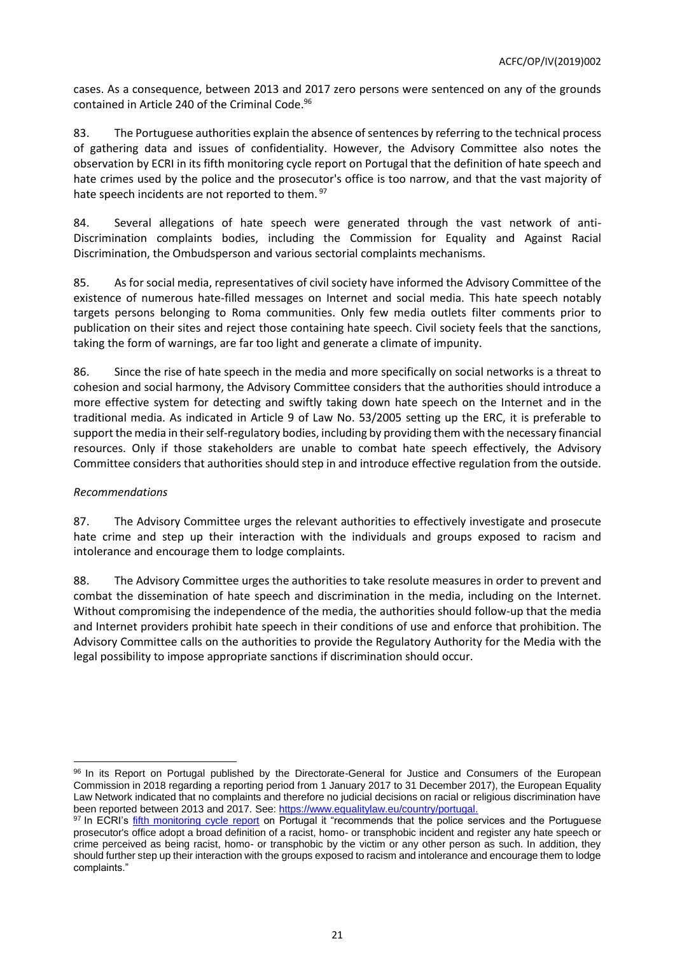cases. As a consequence, between 2013 and 2017 zero persons were sentenced on any of the grounds contained in Article 240 of the Criminal Code.<sup>96</sup>

83. The Portuguese authorities explain the absence of sentences by referring to the technical process of gathering data and issues of confidentiality. However, the Advisory Committee also notes the observation by ECRI in its fifth monitoring cycle report on Portugal that the definition of hate speech and hate crimes used by the police and the prosecutor's office is too narrow, and that the vast majority of hate speech incidents are not reported to them. 97

84. Several allegations of hate speech were generated through the vast network of anti-Discrimination complaints bodies, including the Commission for Equality and Against Racial Discrimination, the Ombudsperson and various sectorial complaints mechanisms.

85. As for social media, representatives of civil society have informed the Advisory Committee of the existence of numerous hate-filled messages on Internet and social media. This hate speech notably targets persons belonging to Roma communities. Only few media outlets filter comments prior to publication on their sites and reject those containing hate speech. Civil society feels that the sanctions, taking the form of warnings, are far too light and generate a climate of impunity.

86. Since the rise of hate speech in the media and more specifically on social networks is a threat to cohesion and social harmony, the Advisory Committee considers that the authorities should introduce a more effective system for detecting and swiftly taking down hate speech on the Internet and in the traditional media. As indicated in Article 9 of Law No. 53/2005 setting up the ERC, it is preferable to support the media in their self-regulatory bodies, including by providing them with the necessary financial resources. Only if those stakeholders are unable to combat hate speech effectively, the Advisory Committee considers that authorities should step in and introduce effective regulation from the outside.

### *Recommendations*

87. The Advisory Committee urges the relevant authorities to effectively investigate and prosecute hate crime and step up their interaction with the individuals and groups exposed to racism and intolerance and encourage them to lodge complaints.

88. The Advisory Committee urges the authorities to take resolute measures in order to prevent and combat the dissemination of hate speech and discrimination in the media, including on the Internet. Without compromising the independence of the media, the authorities should follow-up that the media and Internet providers prohibit hate speech in their conditions of use and enforce that prohibition. The Advisory Committee calls on the authorities to provide the Regulatory Authority for the Media with the legal possibility to impose appropriate sanctions if discrimination should occur.

 $\overline{a}$ 96 In its Report on Portugal published by the Directorate-General for Justice and Consumers of the European Commission in 2018 regarding a reporting period from 1 January 2017 to 31 December 2017), the European Equality Law Network indicated that no complaints and therefore no judicial decisions on racial or religious discrimination have been reported between 2013 and 2017. See: [https://www.equalitylaw.eu/country/portugal.](https://www.equalitylaw.eu/country/portugal)

<sup>97</sup> In ECRI's [fifth monitoring cycle report](https://rm.coe.int/fifth-report-on-portugal/16808de7da) on Portugal it "recommends that the police services and the Portuguese prosecutor's office adopt a broad definition of a racist, homo- or transphobic incident and register any hate speech or crime perceived as being racist, homo- or transphobic by the victim or any other person as such. In addition, they should further step up their interaction with the groups exposed to racism and intolerance and encourage them to lodge complaints."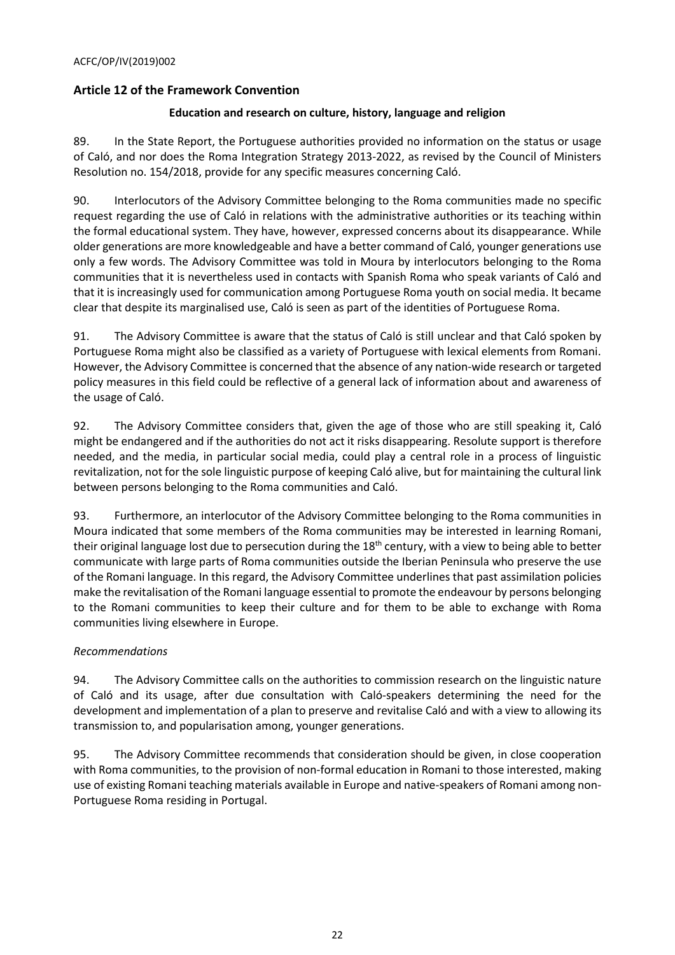## <span id="page-21-0"></span>**Article 12 of the Framework Convention**

### **Education and research on culture, history, language and religion**

89. In the State Report, the Portuguese authorities provided no information on the status or usage of Caló, and nor does the Roma Integration Strategy 2013-2022, as revised by the Council of Ministers Resolution no. 154/2018, provide for any specific measures concerning Caló.

90. Interlocutors of the Advisory Committee belonging to the Roma communities made no specific request regarding the use of Caló in relations with the administrative authorities or its teaching within the formal educational system. They have, however, expressed concerns about its disappearance. While older generations are more knowledgeable and have a better command of Caló, younger generations use only a few words. The Advisory Committee was told in Moura by interlocutors belonging to the Roma communities that it is nevertheless used in contacts with Spanish Roma who speak variants of Caló and that it is increasingly used for communication among Portuguese Roma youth on social media. It became clear that despite its marginalised use, Caló is seen as part of the identities of Portuguese Roma.

91. The Advisory Committee is aware that the status of Caló is still unclear and that Caló spoken by Portuguese Roma might also be classified as a variety of Portuguese with lexical elements from Romani. However, the Advisory Committee is concerned that the absence of any nation-wide research or targeted policy measures in this field could be reflective of a general lack of information about and awareness of the usage of Caló.

92. The Advisory Committee considers that, given the age of those who are still speaking it, Caló might be endangered and if the authorities do not act it risks disappearing. Resolute support is therefore needed, and the media, in particular social media, could play a central role in a process of linguistic revitalization, not for the sole linguistic purpose of keeping Caló alive, but for maintaining the cultural link between persons belonging to the Roma communities and Caló.

93. Furthermore, an interlocutor of the Advisory Committee belonging to the Roma communities in Moura indicated that some members of the Roma communities may be interested in learning Romani, their original language lost due to persecution during the  $18<sup>th</sup>$  century, with a view to being able to better communicate with large parts of Roma communities outside the Iberian Peninsula who preserve the use of the Romani language. In this regard, the Advisory Committee underlines that past assimilation policies make the revitalisation of the Romani language essential to promote the endeavour by persons belonging to the Romani communities to keep their culture and for them to be able to exchange with Roma communities living elsewhere in Europe.

## *Recommendations*

94. The Advisory Committee calls on the authorities to commission research on the linguistic nature of Caló and its usage, after due consultation with Caló-speakers determining the need for the development and implementation of a plan to preserve and revitalise Caló and with a view to allowing its transmission to, and popularisation among, younger generations.

95. The Advisory Committee recommends that consideration should be given, in close cooperation with Roma communities, to the provision of non-formal education in Romani to those interested, making use of existing Romani teaching materials available in Europe and native-speakers of Romani among non-Portuguese Roma residing in Portugal.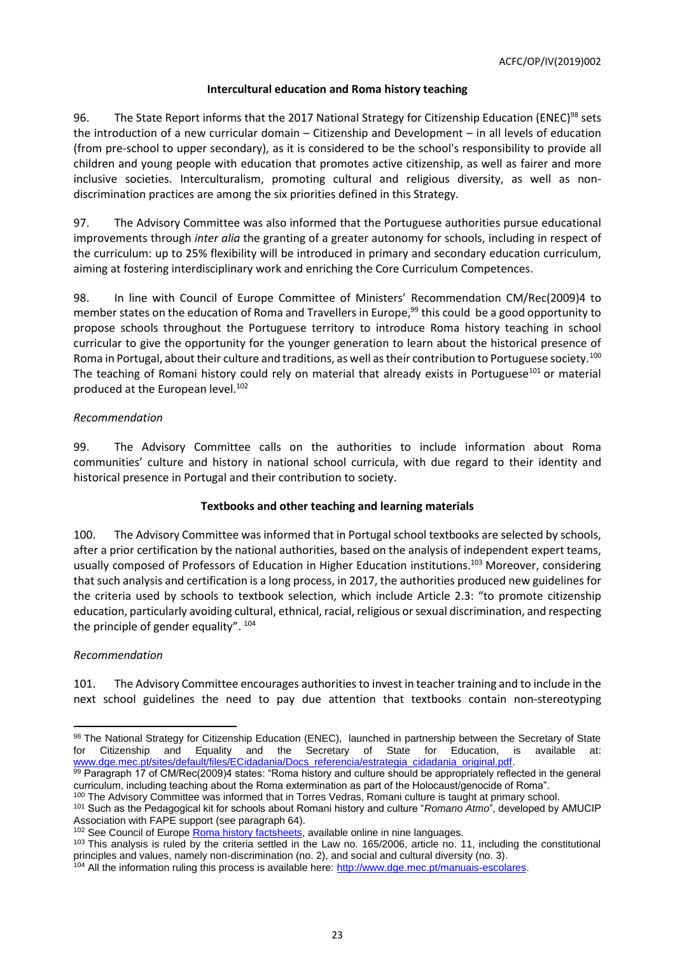### **Intercultural education and Roma history teaching**

96. The State Report informs that the 2017 National Strategy for Citizenship Education (ENEC)<sup>98</sup> sets the introduction of a new curricular domain – Citizenship and Development – in all levels of education (from pre-school to upper secondary), as it is considered to be the school's responsibility to provide all children and young people with education that promotes active citizenship, as well as fairer and more inclusive societies. Interculturalism, promoting cultural and religious diversity, as well as nondiscrimination practices are among the six priorities defined in this Strategy.

97. The Advisory Committee was also informed that the Portuguese authorities pursue educational improvements through *inter alia* the granting of a greater autonomy for schools, including in respect of the curriculum: up to 25% flexibility will be introduced in primary and secondary education curriculum, aiming at fostering interdisciplinary work and enriching the Core Curriculum Competences.

98. In line with Council of Europe Committee of Ministers' Recommendation CM/Rec(2009)4 to member states on the education of Roma and Travellers in Europe, <sup>99</sup> this could be a good opportunity to propose schools throughout the Portuguese territory to introduce Roma history teaching in school curricular to give the opportunity for the younger generation to learn about the historical presence of Roma in Portugal, about their culture and traditions, as well as their contribution to Portuguese society.<sup>100</sup> The teaching of Romani history could rely on material that already exists in Portuguese<sup>101</sup> or material produced at the European level.<sup>102</sup>

### *Recommendation*

99. The Advisory Committee calls on the authorities to include information about Roma communities' culture and history in national school curricula, with due regard to their identity and historical presence in Portugal and their contribution to society.

## **Textbooks and other teaching and learning materials**

100. The Advisory Committee was informed that in Portugal school textbooks are selected by schools, after a prior certification by the national authorities, based on the analysis of independent expert teams, usually composed of Professors of Education in Higher Education institutions.<sup>103</sup> Moreover, considering that such analysis and certification is a long process, in 2017, the authorities produced new guidelines for the criteria used by schools to textbook selection, which include Article 2.3: "to promote citizenship education, particularly avoiding cultural, ethnical, racial, religious or sexual discrimination, and respecting the principle of gender equality". 104

### *Recommendation*

101. The Advisory Committee encourages authorities to invest in teacher training and to include in the next school guidelines the need to pay due attention that textbooks contain non-stereotyping

l 98 The National Strategy for Citizenship Education (ENEC), launched in partnership between the Secretary of State for Citizenship and Equality and the Secretary of State for Education, is available [www.dge.mec.pt/sites/default/files/ECidadania/Docs\\_referencia/estrategia\\_cidadania\\_original.pdf.](http://www.dge.mec.pt/sites/default/files/ECidadania/Docs_referencia/estrategia_cidadania_original.pdf)

<sup>99</sup> Paragraph 17 of CM/Rec(2009)4 states: "Roma history and culture should be appropriately reflected in the general curriculum, including teaching about the Roma extermination as part of the Holocaust/genocide of Roma".

<sup>&</sup>lt;sup>100</sup> The Advisory Committee was informed that in Torres Vedras, Romani culture is taught at primary school.

<sup>101</sup> Such as the Pedagogical kit for schools about Romani history and culture "*Romano Atmo*", developed by AMUCIP Association with FAPE support (see paragraph 64).

<sup>102</sup> See Council of Europe [Roma history factsheets,](http://romafacts.uni-graz.at/) available online in nine languages.

<sup>&</sup>lt;sup>103</sup> This analysis is ruled by the criteria settled in the Law no. 165/2006, article no. 11, including the constitutional principles and values, namely non-discrimination (no. 2), and social and cultural diversity (no. 3).

<sup>&</sup>lt;sup>104</sup> All the information ruling this process is available here: [http://www.dge.mec.pt/manuais-escolares.](http://www.dge.mec.pt/manuais-escolares)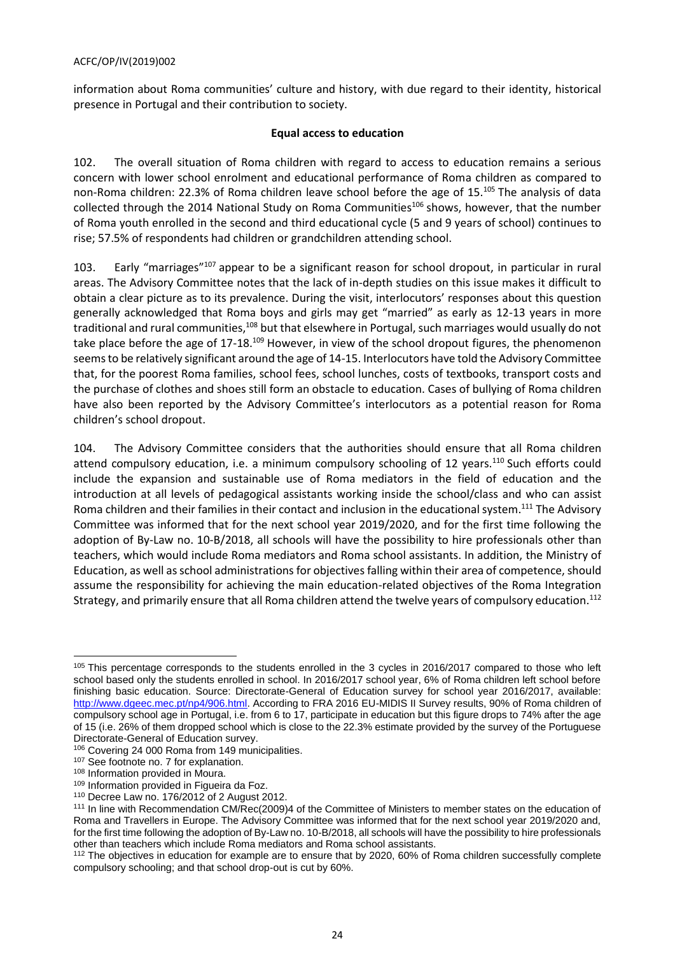information about Roma communities' culture and history, with due regard to their identity, historical presence in Portugal and their contribution to society.

#### **Equal access to education**

102. The overall situation of Roma children with regard to access to education remains a serious concern with lower school enrolment and educational performance of Roma children as compared to non-Roma children: 22.3% of Roma children leave school before the age of 15.<sup>105</sup> The analysis of data collected through the 2014 National Study on Roma Communities<sup>106</sup> shows, however, that the number of Roma youth enrolled in the second and third educational cycle (5 and 9 years of school) continues to rise; 57.5% of respondents had children or grandchildren attending school.

103. Early "marriages"<sup>107</sup> appear to be a significant reason for school dropout, in particular in rural areas. The Advisory Committee notes that the lack of in-depth studies on this issue makes it difficult to obtain a clear picture as to its prevalence. During the visit, interlocutors' responses about this question generally acknowledged that Roma boys and girls may get "married" as early as 12-13 years in more traditional and rural communities,<sup>108</sup> but that elsewhere in Portugal, such marriages would usually do not take place before the age of 17-18.<sup>109</sup> However, in view of the school dropout figures, the phenomenon seems to be relatively significant around the age of 14-15. Interlocutors have told the Advisory Committee that, for the poorest Roma families, school fees, school lunches, costs of textbooks, transport costs and the purchase of clothes and shoes still form an obstacle to education. Cases of bullying of Roma children have also been reported by the Advisory Committee's interlocutors as a potential reason for Roma children's school dropout.

104. The Advisory Committee considers that the authorities should ensure that all Roma children attend compulsory education, i.e. a minimum compulsory schooling of 12 years.<sup>110</sup> Such efforts could include the expansion and sustainable use of Roma mediators in the field of education and the introduction at all levels of pedagogical assistants working inside the school/class and who can assist Roma children and their families in their contact and inclusion in the educational system.<sup>111</sup> The Advisory Committee was informed that for the next school year 2019/2020, and for the first time following the adoption of By-Law no. 10-B/2018, all schools will have the possibility to hire professionals other than teachers, which would include Roma mediators and Roma school assistants. In addition, the Ministry of Education, as well as school administrations for objectives falling within their area of competence, should assume the responsibility for achieving the main education-related objectives of the Roma Integration Strategy, and primarily ensure that all Roma children attend the twelve years of compulsory education. 112

 $\overline{a}$ 

<sup>&</sup>lt;sup>105</sup> This percentage corresponds to the students enrolled in the 3 cycles in 2016/2017 compared to those who left school based only the students enrolled in school. In 2016/2017 school year, 6% of Roma children left school before finishing basic education. Source: Directorate-General of Education survey for school year 2016/2017, available: [http://www.dgeec.mec.pt/np4/906.html.](http://www.dgeec.mec.pt/np4/906.html) According to FRA 2016 EU-MIDIS II Survey results, 90% of Roma children of compulsory school age in Portugal, i.e. from 6 to 17, participate in education but this figure drops to 74% after the age of 15 (i.e. 26% of them dropped school which is close to the 22.3% estimate provided by the survey of the Portuguese Directorate-General of Education survey.

<sup>106</sup> Covering 24 000 Roma from 149 municipalities.

<sup>107</sup> See footnote no. 7 for explanation.

<sup>108</sup> Information provided in Moura.

<sup>109</sup> Information provided in Figueira da Foz.

<sup>110</sup> Decree Law no. 176/2012 of 2 August 2012.

<sup>111</sup> In line with Recommendation CM/Rec(2009)4 of the Committee of Ministers to member states on the education of Roma and Travellers in Europe. The Advisory Committee was informed that for the next school year 2019/2020 and, for the first time following the adoption of By-Law no. 10-B/2018, all schools will have the possibility to hire professionals other than teachers which include Roma mediators and Roma school assistants.

<sup>&</sup>lt;sup>112</sup> The objectives in education for example are to ensure that by 2020, 60% of Roma children successfully complete compulsory schooling; and that school drop-out is cut by 60%.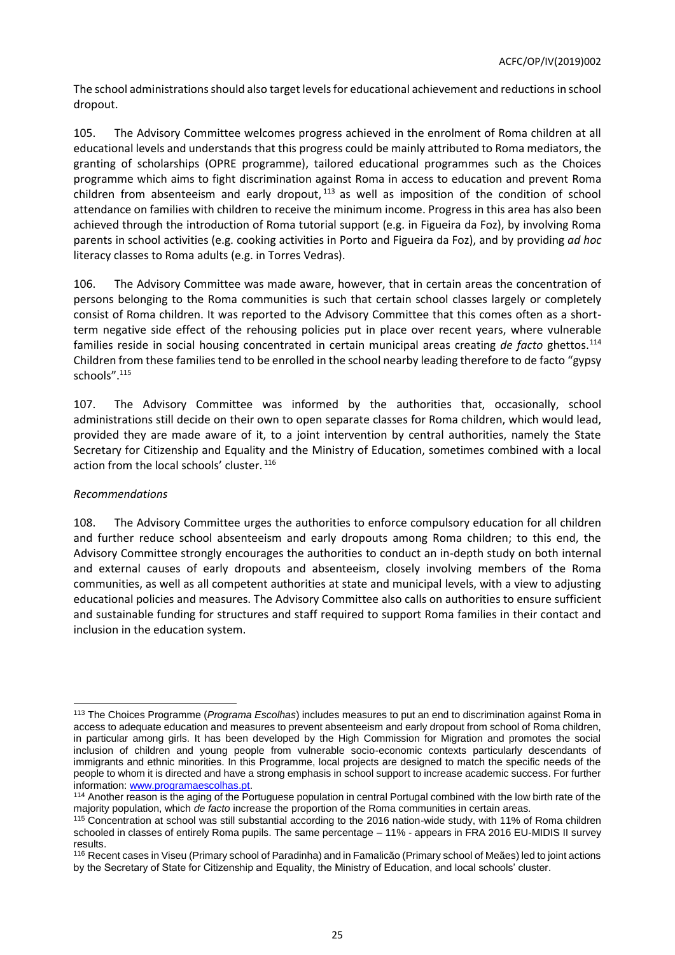The school administrations should also target levels for educational achievement and reductions in school dropout.

105. The Advisory Committee welcomes progress achieved in the enrolment of Roma children at all educational levels and understands that this progress could be mainly attributed to Roma mediators, the granting of scholarships (OPRE programme), tailored educational programmes such as the Choices programme which aims to fight discrimination against Roma in access to education and prevent Roma children from absenteeism and early dropout,<sup>113</sup> as well as imposition of the condition of school attendance on families with children to receive the minimum income. Progress in this area has also been achieved through the introduction of Roma tutorial support (e.g. in Figueira da Foz), by involving Roma parents in school activities (e.g. cooking activities in Porto and Figueira da Foz), and by providing *ad hoc* literacy classes to Roma adults (e.g. in Torres Vedras).

106. The Advisory Committee was made aware, however, that in certain areas the concentration of persons belonging to the Roma communities is such that certain school classes largely or completely consist of Roma children. It was reported to the Advisory Committee that this comes often as a shortterm negative side effect of the rehousing policies put in place over recent years, where vulnerable families reside in social housing concentrated in certain municipal areas creating *de facto* ghettos.<sup>114</sup> Children from these families tend to be enrolled in the school nearby leading therefore to de facto "gypsy schools".<sup>115</sup>

107. The Advisory Committee was informed by the authorities that, occasionally, school administrations still decide on their own to open separate classes for Roma children, which would lead, provided they are made aware of it, to a joint intervention by central authorities, namely the State Secretary for Citizenship and Equality and the Ministry of Education, sometimes combined with a local action from the local schools' cluster.<sup>116</sup>

### *Recommendations*

108. The Advisory Committee urges the authorities to enforce compulsory education for all children and further reduce school absenteeism and early dropouts among Roma children; to this end, the Advisory Committee strongly encourages the authorities to conduct an in-depth study on both internal and external causes of early dropouts and absenteeism, closely involving members of the Roma communities, as well as all competent authorities at state and municipal levels, with a view to adjusting educational policies and measures. The Advisory Committee also calls on authorities to ensure sufficient and sustainable funding for structures and staff required to support Roma families in their contact and inclusion in the education system.

l <sup>113</sup> The Choices Programme (*Programa Escolhas*) includes measures to put an end to discrimination against Roma in access to adequate education and measures to prevent absenteeism and early dropout from school of Roma children, in particular among girls. It has been developed by the High Commission for Migration and promotes the social inclusion of children and young people from vulnerable socio-economic contexts particularly descendants of immigrants and ethnic minorities. In this Programme, local projects are designed to match the specific needs of the people to whom it is directed and have a strong emphasis in school support to increase academic success. For further information[: www.programaescolhas.pt.](http://www.programaescolhas.pt/)

<sup>114</sup> Another reason is the aging of the Portuguese population in central Portugal combined with the low birth rate of the majority population, which *de facto* increase the proportion of the Roma communities in certain areas.

<sup>115</sup> Concentration at school was still substantial according to the 2016 nation-wide study, with 11% of Roma children schooled in classes of entirely Roma pupils. The same percentage – 11% - appears in FRA 2016 EU-MIDIS II survey results.

<sup>116</sup> Recent cases in Viseu (Primary school of Paradinha) and in Famalicão (Primary school of Meães) led to joint actions by the Secretary of State for Citizenship and Equality, the Ministry of Education, and local schools' cluster.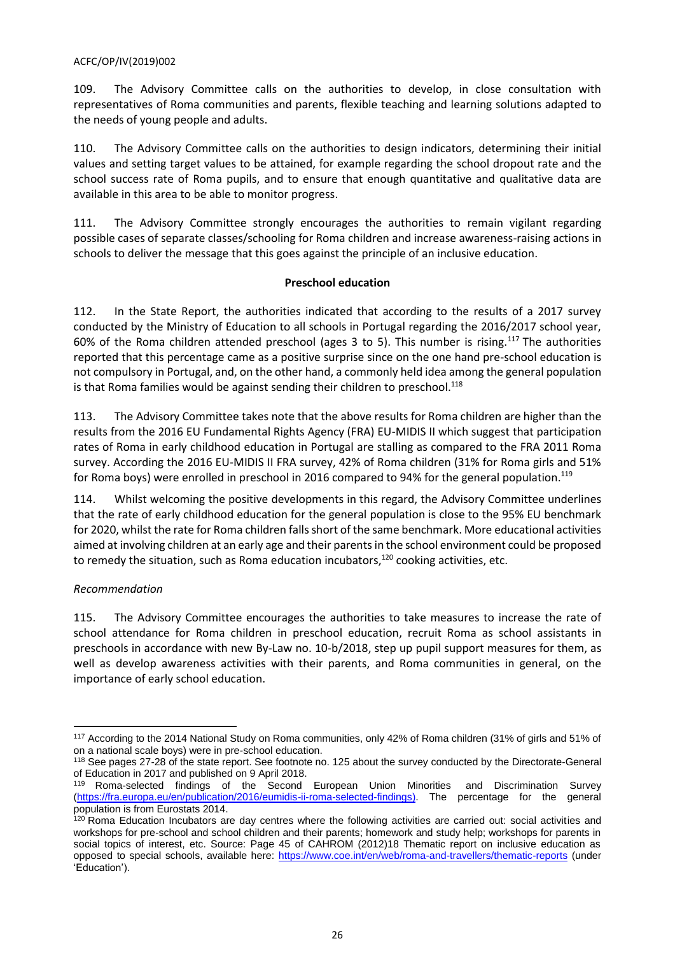109. The Advisory Committee calls on the authorities to develop, in close consultation with representatives of Roma communities and parents, flexible teaching and learning solutions adapted to the needs of young people and adults.

110. The Advisory Committee calls on the authorities to design indicators, determining their initial values and setting target values to be attained, for example regarding the school dropout rate and the school success rate of Roma pupils, and to ensure that enough quantitative and qualitative data are available in this area to be able to monitor progress.

111. The Advisory Committee strongly encourages the authorities to remain vigilant regarding possible cases of separate classes/schooling for Roma children and increase awareness-raising actions in schools to deliver the message that this goes against the principle of an inclusive education.

### **Preschool education**

112. In the State Report, the authorities indicated that according to the results of a 2017 survey conducted by the Ministry of Education to all schools in Portugal regarding the 2016/2017 school year, 60% of the Roma children attended preschool (ages 3 to 5). This number is rising.<sup>117</sup> The authorities reported that this percentage came as a positive surprise since on the one hand pre-school education is not compulsory in Portugal, and, on the other hand, a commonly held idea among the general population is that Roma families would be against sending their children to preschool.<sup>118</sup>

113. The Advisory Committee takes note that the above results for Roma children are higher than the results from the 2016 EU Fundamental Rights Agency (FRA) EU-MIDIS II which suggest that participation rates of Roma in early childhood education in Portugal are stalling as compared to the FRA 2011 Roma survey. According the 2016 EU-MIDIS II FRA survey, 42% of Roma children (31% for Roma girls and 51% for Roma boys) were enrolled in preschool in 2016 compared to 94% for the general population.<sup>119</sup>

114. Whilst welcoming the positive developments in this regard, the Advisory Committee underlines that the rate of early childhood education for the general population is close to the 95% EU benchmark for 2020, whilst the rate for Roma children falls short of the same benchmark. More educational activities aimed at involving children at an early age and their parents in the school environment could be proposed to remedy the situation, such as Roma education incubators,<sup>120</sup> cooking activities, etc.

## *Recommendation*

115. The Advisory Committee encourages the authorities to take measures to increase the rate of school attendance for Roma children in preschool education, recruit Roma as school assistants in preschools in accordance with new By-Law no. 10-b/2018, step up pupil support measures for them, as well as develop awareness activities with their parents, and Roma communities in general, on the importance of early school education.

l <sup>117</sup> According to the 2014 National Study on Roma communities, only 42% of Roma children (31% of girls and 51% of on a national scale boys) were in pre-school education.

<sup>118</sup> See pages 27-28 of the state report. See footnote no. 125 about the survey conducted by the Directorate-General of Education in 2017 and published on 9 April 2018.

<sup>119</sup> Roma-selected findings of the Second European Union Minorities and Discrimination Survey [\(https://fra.europa.eu/en/publication/2016/eumidis-ii-roma-selected-findings\)](https://fra.europa.eu/en/publication/2016/eumidis-ii-roma-selected-findings). The percentage for the general population is from Eurostats 2014.

<sup>120</sup> Roma Education Incubators are day centres where the following activities are carried out: social activities and workshops for pre-school and school children and their parents; homework and study help; workshops for parents in social topics of interest, etc. Source: Page 45 of CAHROM (2012)18 Thematic report on inclusive education as opposed to special schools, available here:<https://www.coe.int/en/web/roma-and-travellers/thematic-reports> (under 'Education').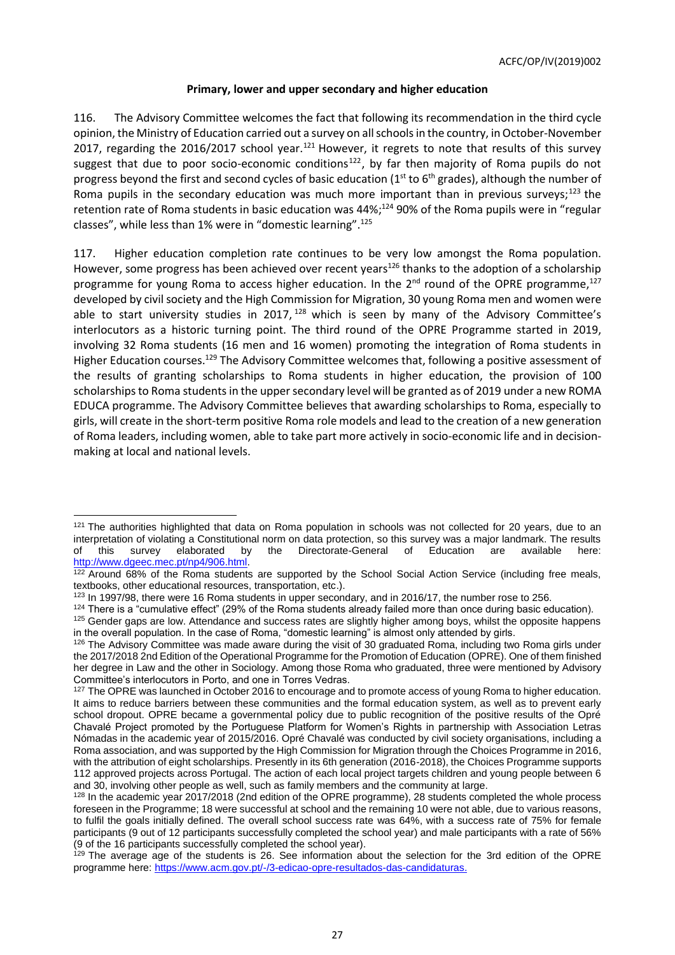### **Primary, lower and upper secondary and higher education**

116. The Advisory Committee welcomes the fact that following its recommendation in the third cycle opinion, the Ministry of Education carried out a survey on all schools in the country, in October-November 2017, regarding the 2016/2017 school year.<sup>121</sup> However, it regrets to note that results of this survey suggest that due to poor socio-economic conditions<sup>122</sup>, by far then majority of Roma pupils do not progress beyond the first and second cycles of basic education (1 $^{\rm st}$  to 6 $^{\rm th}$  grades), although the number of Roma pupils in the secondary education was much more important than in previous surveys;<sup>123</sup> the retention rate of Roma students in basic education was 44%; <sup>124</sup> 90% of the Roma pupils were in "regular classes", while less than 1% were in "domestic learning".<sup>125</sup>

117. Higher education completion rate continues to be very low amongst the Roma population. However, some progress has been achieved over recent years<sup>126</sup> thanks to the adoption of a scholarship programme for young Roma to access higher education. In the 2<sup>nd</sup> round of the OPRE programme,<sup>127</sup> developed by civil society and the High Commission for Migration, 30 young Roma men and women were able to start university studies in 2017,  $128$  which is seen by many of the Advisory Committee's interlocutors as a historic turning point. The third round of the OPRE Programme started in 2019, involving 32 Roma students (16 men and 16 women) promoting the integration of Roma students in Higher Education courses.<sup>129</sup> The Advisory Committee welcomes that, following a positive assessment of the results of granting scholarships to Roma students in higher education, the provision of 100 scholarships to Roma students in the upper secondary level will be granted as of 2019 under a new ROMA EDUCA programme. The Advisory Committee believes that awarding scholarships to Roma, especially to girls, will create in the short-term positive Roma role models and lead to the creation of a new generation of Roma leaders, including women, able to take part more actively in socio-economic life and in decisionmaking at local and national levels.

l <sup>121</sup> The authorities highlighted that data on Roma population in schools was not collected for 20 years, due to an interpretation of violating a Constitutional norm on data protection, so this survey was a major landmark. The results<br>of this survey elaborated by the Directorate-General of Education are available here: of this survey elaborated by the Directorate-General of Education are available here: [http://www.dgeec.mec.pt/np4/906.html.](http://www.dgeec.mec.pt/np4/906.html)

<sup>122</sup> Around 68% of the Roma students are supported by the School Social Action Service (including free meals, textbooks, other educational resources, transportation, etc.).

<sup>&</sup>lt;sup>123</sup> In 1997/98, there were 16 Roma students in upper secondary, and in 2016/17, the number rose to 256.

<sup>&</sup>lt;sup>124</sup> There is a "cumulative effect" (29% of the Roma students already failed more than once during basic education). <sup>125</sup> Gender gaps are low. Attendance and success rates are slightly higher among boys, whilst the opposite happens in the overall population. In the case of Roma, "domestic learning" is almost only attended by girls.

<sup>126</sup> The Advisory Committee was made aware during the visit of 30 graduated Roma, including two Roma girls under the 2017/2018 2nd Edition of the Operational Programme for the Promotion of Education (OPRE). One of them finished her degree in Law and the other in Sociology. Among those Roma who graduated, three were mentioned by Advisory Committee's interlocutors in Porto, and one in Torres Vedras.

<sup>&</sup>lt;sup>127</sup> The OPRE was launched in October 2016 to encourage and to promote access of young Roma to higher education. It aims to reduce barriers between these communities and the formal education system, as well as to prevent early school dropout. OPRE became a governmental policy due to public recognition of the positive results of the Opré Chavalé Project promoted by the Portuguese Platform for Women's Rights in partnership with Association Letras Nómadas in the academic year of 2015/2016. Opré Chavalé was conducted by civil society organisations, including a Roma association, and was supported by the High Commission for Migration through the Choices Programme in 2016, with the attribution of eight scholarships. Presently in its 6th generation (2016-2018), the Choices Programme supports 112 approved projects across Portugal. The action of each local project targets children and young people between 6 and 30, involving other people as well, such as family members and the community at large.

<sup>&</sup>lt;sup>128</sup> In the academic year 2017/2018 (2nd edition of the OPRE programme), 28 students completed the whole process foreseen in the Programme; 18 were successful at school and the remaining 10 were not able, due to various reasons, to fulfil the goals initially defined. The overall school success rate was 64%, with a success rate of 75% for female participants (9 out of 12 participants successfully completed the school year) and male participants with a rate of 56% (9 of the 16 participants successfully completed the school year).

<sup>&</sup>lt;sup>129</sup> The average age of the students is 26. See information about the selection for the 3rd edition of the OPRE programme here: [https://www.acm.gov.pt/-/3-edicao-opre-resultados-das-candidaturas.](https://www.acm.gov.pt/-/3-edicao-opre-resultados-das-candidaturas)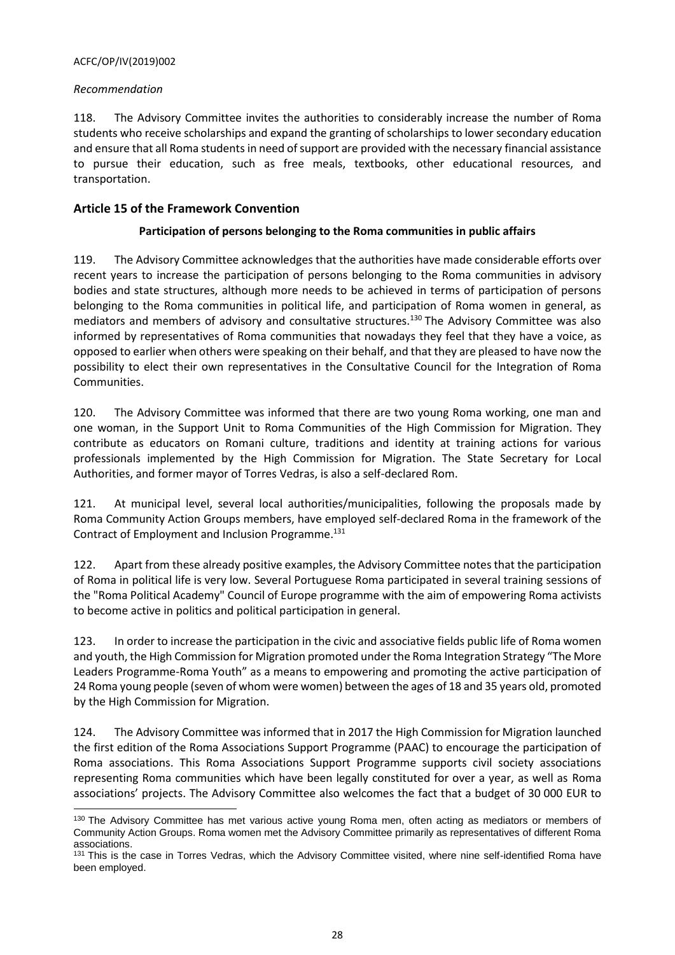### *Recommendation*

118. The Advisory Committee invites the authorities to considerably increase the number of Roma students who receive scholarships and expand the granting of scholarships to lower secondary education and ensure that all Roma students in need of support are provided with the necessary financial assistance to pursue their education, such as free meals, textbooks, other educational resources, and transportation.

## <span id="page-27-0"></span>**Article 15 of the Framework Convention**

## **Participation of persons belonging to the Roma communities in public affairs**

119. The Advisory Committee acknowledges that the authorities have made considerable efforts over recent years to increase the participation of persons belonging to the Roma communities in advisory bodies and state structures, although more needs to be achieved in terms of participation of persons belonging to the Roma communities in political life, and participation of Roma women in general, as mediators and members of advisory and consultative structures.<sup>130</sup> The Advisory Committee was also informed by representatives of Roma communities that nowadays they feel that they have a voice, as opposed to earlier when others were speaking on their behalf, and that they are pleased to have now the possibility to elect their own representatives in the Consultative Council for the Integration of Roma Communities.

120. The Advisory Committee was informed that there are two young Roma working, one man and one woman, in the Support Unit to Roma Communities of the High Commission for Migration. They contribute as educators on Romani culture, traditions and identity at training actions for various professionals implemented by the High Commission for Migration. The State Secretary for Local Authorities, and former mayor of Torres Vedras, is also a self-declared Rom.

121. At municipal level, several local authorities/municipalities, following the proposals made by Roma Community Action Groups members, have employed self-declared Roma in the framework of the Contract of Employment and Inclusion Programme.<sup>131</sup>

122. Apart from these already positive examples, the Advisory Committee notes that the participation of Roma in political life is very low. Several Portuguese Roma participated in several training sessions of the "Roma Political Academy" Council of Europe programme with the aim of empowering Roma activists to become active in politics and political participation in general.

123. In order to increase the participation in the civic and associative fields public life of Roma women and youth, the High Commission for Migration promoted under the Roma Integration Strategy "The More Leaders Programme-Roma Youth" as a means to empowering and promoting the active participation of 24 Roma young people (seven of whom were women) between the ages of 18 and 35 years old, promoted by the High Commission for Migration.

124. The Advisory Committee was informed that in 2017 the High Commission for Migration launched the first edition of the Roma Associations Support Programme (PAAC) to encourage the participation of Roma associations. This Roma Associations Support Programme supports civil society associations representing Roma communities which have been legally constituted for over a year, as well as Roma associations' projects. The Advisory Committee also welcomes the fact that a budget of 30 000 EUR to

 $\overline{a}$ <sup>130</sup> The Advisory Committee has met various active young Roma men, often acting as mediators or members of Community Action Groups. Roma women met the Advisory Committee primarily as representatives of different Roma associations.

<sup>&</sup>lt;sup>131</sup> This is the case in Torres Vedras, which the Advisory Committee visited, where nine self-identified Roma have been employed.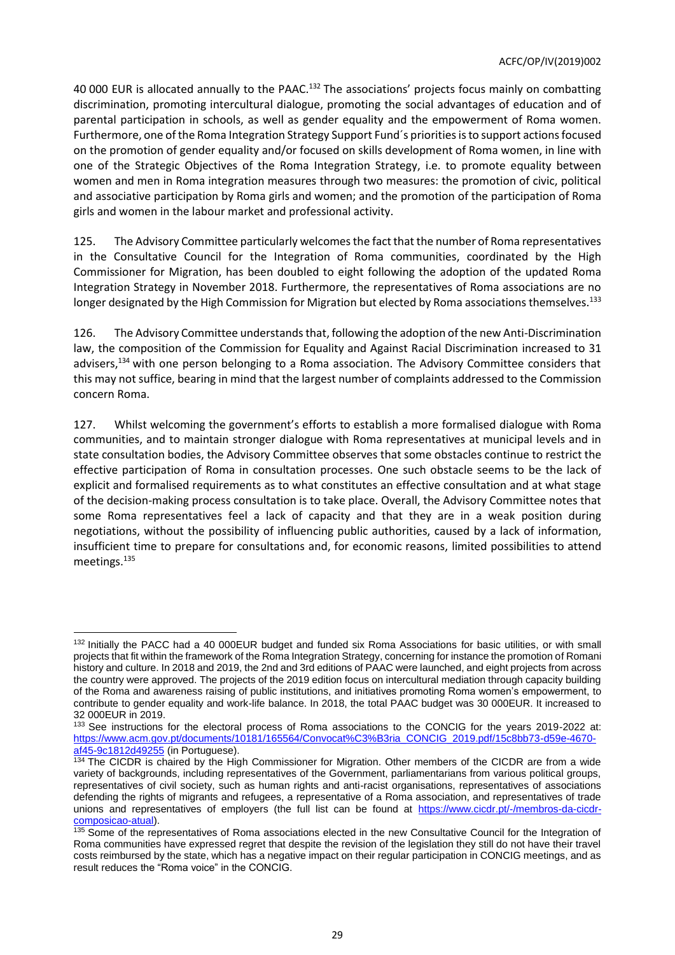40 000 EUR is allocated annually to the PAAC.<sup>132</sup> The associations' projects focus mainly on combatting discrimination, promoting intercultural dialogue, promoting the social advantages of education and of parental participation in schools, as well as gender equality and the empowerment of Roma women. Furthermore, one ofthe Roma Integration Strategy Support Fund´s priorities is to support actions focused on the promotion of gender equality and/or focused on skills development of Roma women, in line with one of the Strategic Objectives of the Roma Integration Strategy, i.e. to promote equality between women and men in Roma integration measures through two measures: the promotion of civic, political and associative participation by Roma girls and women; and the promotion of the participation of Roma girls and women in the labour market and professional activity.

125. The Advisory Committee particularly welcomes the fact that the number of Roma representatives in the Consultative Council for the Integration of Roma communities, coordinated by the High Commissioner for Migration, has been doubled to eight following the adoption of the updated Roma Integration Strategy in November 2018. Furthermore, the representatives of Roma associations are no longer designated by the High Commission for Migration but elected by Roma associations themselves. 133

126. The Advisory Committee understands that, following the adoption of the new Anti-Discrimination law, the composition of the Commission for Equality and Against Racial Discrimination increased to 31 advisers,<sup>134</sup> with one person belonging to a Roma association. The Advisory Committee considers that this may not suffice, bearing in mind that the largest number of complaints addressed to the Commission concern Roma.

127. Whilst welcoming the government's efforts to establish a more formalised dialogue with Roma communities, and to maintain stronger dialogue with Roma representatives at municipal levels and in state consultation bodies, the Advisory Committee observes that some obstacles continue to restrict the effective participation of Roma in consultation processes. One such obstacle seems to be the lack of explicit and formalised requirements as to what constitutes an effective consultation and at what stage of the decision-making process consultation is to take place. Overall, the Advisory Committee notes that some Roma representatives feel a lack of capacity and that they are in a weak position during negotiations, without the possibility of influencing public authorities, caused by a lack of information, insufficient time to prepare for consultations and, for economic reasons, limited possibilities to attend meetings.<sup>135</sup>

l <sup>132</sup> Initially the PACC had a 40 000EUR budget and funded six Roma Associations for basic utilities, or with small projects that fit within the framework of the Roma Integration Strategy, concerning for instance the promotion of Romani history and culture. In 2018 and 2019, the 2nd and 3rd editions of PAAC were launched, and eight projects from across the country were approved. The projects of the 2019 edition focus on intercultural mediation through capacity building of the Roma and awareness raising of public institutions, and initiatives promoting Roma women's empowerment, to contribute to gender equality and work-life balance. In 2018, the total PAAC budget was 30 000EUR. It increased to 32 000EUR in 2019.

<sup>133</sup> See instructions for the electoral process of Roma associations to the CONCIG for the years 2019-2022 at: [https://www.acm.gov.pt/documents/10181/165564/Convocat%C3%B3ria\\_CONCIG\\_2019.pdf/15c8bb73-d59e-4670](https://www.acm.gov.pt/documents/10181/165564/Convocat%C3%B3ria_CONCIG_2019.pdf/15c8bb73-d59e-4670-af45-9c1812d49255) [af45-9c1812d49255](https://www.acm.gov.pt/documents/10181/165564/Convocat%C3%B3ria_CONCIG_2019.pdf/15c8bb73-d59e-4670-af45-9c1812d49255) (in Portuguese).

<sup>134</sup> The CICDR is chaired by the High Commissioner for Migration. Other members of the CICDR are from a wide variety of backgrounds, including representatives of the Government, parliamentarians from various political groups, representatives of civil society, such as human rights and anti-racist organisations, representatives of associations defending the rights of migrants and refugees, a representative of a Roma association, and representatives of trade unions and representatives of employers (the full list can be found at [https://www.cicdr.pt/-/membros-da-cicdr](https://www.cicdr.pt/-/membros-da-cicdr-composicao-atual)[composicao-atual\)](https://www.cicdr.pt/-/membros-da-cicdr-composicao-atual).

<sup>135</sup> Some of the representatives of Roma associations elected in the new Consultative Council for the Integration of Roma communities have expressed regret that despite the revision of the legislation they still do not have their travel costs reimbursed by the state, which has a negative impact on their regular participation in CONCIG meetings, and as result reduces the "Roma voice" in the CONCIG.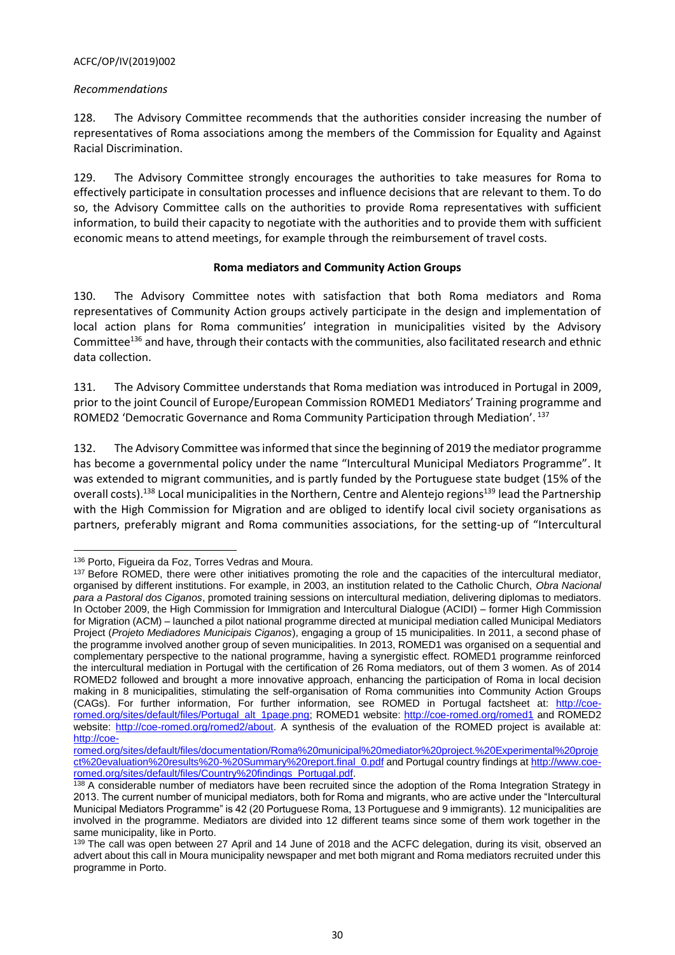### *Recommendations*

128. The Advisory Committee recommends that the authorities consider increasing the number of representatives of Roma associations among the members of the Commission for Equality and Against Racial Discrimination.

129. The Advisory Committee strongly encourages the authorities to take measures for Roma to effectively participate in consultation processes and influence decisions that are relevant to them. To do so, the Advisory Committee calls on the authorities to provide Roma representatives with sufficient information, to build their capacity to negotiate with the authorities and to provide them with sufficient economic means to attend meetings, for example through the reimbursement of travel costs.

### **Roma mediators and Community Action Groups**

130. The Advisory Committee notes with satisfaction that both Roma mediators and Roma representatives of Community Action groups actively participate in the design and implementation of local action plans for Roma communities' integration in municipalities visited by the Advisory Committee<sup>136</sup> and have, through their contacts with the communities, also facilitated research and ethnic data collection.

131. The Advisory Committee understands that Roma mediation was introduced in Portugal in 2009, prior to the joint Council of Europe/European Commission ROMED1 Mediators' Training programme and ROMED2 'Democratic Governance and Roma Community Participation through Mediation'. <sup>137</sup>

132. The Advisory Committee was informed that since the beginning of 2019 the mediator programme has become a governmental policy under the name "Intercultural Municipal Mediators Programme". It was extended to migrant communities, and is partly funded by the Portuguese state budget (15% of the overall costs).<sup>138</sup> Local municipalities in the Northern, Centre and Alentejo regions<sup>139</sup> lead the Partnership with the High Commission for Migration and are obliged to identify local civil society organisations as partners, preferably migrant and Roma communities associations, for the setting-up of "Intercultural

l <sup>136</sup> Porto, Figueira da Foz, Torres Vedras and Moura.

<sup>&</sup>lt;sup>137</sup> Before ROMED, there were other initiatives promoting the role and the capacities of the intercultural mediator, organised by different institutions. For example, in 2003, an institution related to the Catholic Church, *Obra Nacional para a Pastoral dos Ciganos*, promoted training sessions on intercultural mediation, delivering diplomas to mediators. In October 2009, the High Commission for Immigration and Intercultural Dialogue (ACIDI) – former High Commission for Migration (ACM) – launched a pilot national programme directed at municipal mediation called Municipal Mediators Project (*Projeto Mediadores Municipais Ciganos*), engaging a group of 15 municipalities. In 2011, a second phase of the programme involved another group of seven municipalities. In 2013, ROMED1 was organised on a sequential and complementary perspective to the national programme, having a synergistic effect. ROMED1 programme reinforced the intercultural mediation in Portugal with the certification of 26 Roma mediators, out of them 3 women. As of 2014 ROMED2 followed and brought a more innovative approach, enhancing the participation of Roma in local decision making in 8 municipalities, stimulating the self-organisation of Roma communities into Community Action Groups (CAGs). For further information, For further information, see ROMED in Portugal factsheet at: [http://coe](http://coe-romed.org/sites/default/files/Portugal_alt_1page.png)[romed.org/sites/default/files/Portugal\\_alt\\_1page.png;](http://coe-romed.org/sites/default/files/Portugal_alt_1page.png) ROMED1 website:<http://coe-romed.org/romed1> and ROMED2 website: [http://coe-romed.org/romed2/about.](http://coe-romed.org/romed2/about) A synthesis of the evaluation of the ROMED project is available at: [http://coe-](http://coe-romed.org/sites/default/files/documentation/Roma%20municipal%20mediator%20project.%20Experimental%20project%20evaluation%20results%20-%20Summary%20report.final_0.pdf)

[romed.org/sites/default/files/documentation/Roma%20municipal%20mediator%20project.%20Experimental%20proje](http://coe-romed.org/sites/default/files/documentation/Roma%20municipal%20mediator%20project.%20Experimental%20project%20evaluation%20results%20-%20Summary%20report.final_0.pdf) [ct%20evaluation%20results%20-%20Summary%20report.final\\_0.pdf](http://coe-romed.org/sites/default/files/documentation/Roma%20municipal%20mediator%20project.%20Experimental%20project%20evaluation%20results%20-%20Summary%20report.final_0.pdf) and Portugal country findings a[t http://www.coe](http://www.coe-romed.org/sites/default/files/Country%20findings_Portugal.pdf)[romed.org/sites/default/files/Country%20findings\\_Portugal.pdf.](http://www.coe-romed.org/sites/default/files/Country%20findings_Portugal.pdf)

<sup>138</sup> A considerable number of mediators have been recruited since the adoption of the Roma Integration Strategy in 2013. The current number of municipal mediators, both for Roma and migrants, who are active under the "Intercultural Municipal Mediators Programme" is 42 (20 Portuguese Roma, 13 Portuguese and 9 immigrants). 12 municipalities are involved in the programme. Mediators are divided into 12 different teams since some of them work together in the same municipality, like in Porto.

<sup>&</sup>lt;sup>139</sup> The call was open between 27 April and 14 June of 2018 and the ACFC delegation, during its visit, observed an advert about this call in Moura municipality newspaper and met both migrant and Roma mediators recruited under this programme in Porto.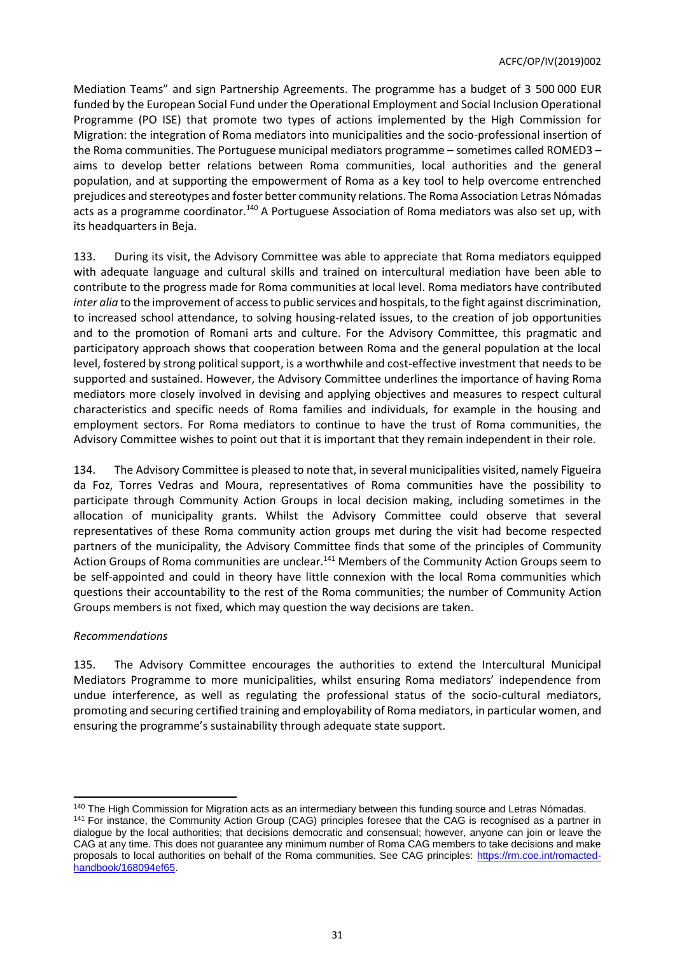Mediation Teams" and sign Partnership Agreements. The programme has a budget of 3 500 000 EUR funded by the European Social Fund under the Operational Employment and Social Inclusion Operational Programme (PO ISE) that promote two types of actions implemented by the High Commission for Migration: the integration of Roma mediators into municipalities and the socio-professional insertion of the Roma communities. The Portuguese municipal mediators programme – sometimes called ROMED3 – aims to develop better relations between Roma communities, local authorities and the general population, and at supporting the empowerment of Roma as a key tool to help overcome entrenched prejudices and stereotypes and foster better community relations. The Roma Association Letras Nómadas acts as a programme coordinator.<sup>140</sup> A Portuguese Association of Roma mediators was also set up, with its headquarters in Beja.

133. During its visit, the Advisory Committee was able to appreciate that Roma mediators equipped with adequate language and cultural skills and trained on intercultural mediation have been able to contribute to the progress made for Roma communities at local level. Roma mediators have contributed *inter alia* to the improvement of access to public services and hospitals, to the fight against discrimination, to increased school attendance, to solving housing-related issues, to the creation of job opportunities and to the promotion of Romani arts and culture. For the Advisory Committee, this pragmatic and participatory approach shows that cooperation between Roma and the general population at the local level, fostered by strong political support, is a worthwhile and cost-effective investment that needs to be supported and sustained. However, the Advisory Committee underlines the importance of having Roma mediators more closely involved in devising and applying objectives and measures to respect cultural characteristics and specific needs of Roma families and individuals, for example in the housing and employment sectors. For Roma mediators to continue to have the trust of Roma communities, the Advisory Committee wishes to point out that it is important that they remain independent in their role.

134. The Advisory Committee is pleased to note that, in several municipalities visited, namely Figueira da Foz, Torres Vedras and Moura, representatives of Roma communities have the possibility to participate through Community Action Groups in local decision making, including sometimes in the allocation of municipality grants. Whilst the Advisory Committee could observe that several representatives of these Roma community action groups met during the visit had become respected partners of the municipality, the Advisory Committee finds that some of the principles of Community Action Groups of Roma communities are unclear.<sup>141</sup> Members of the Community Action Groups seem to be self-appointed and could in theory have little connexion with the local Roma communities which questions their accountability to the rest of the Roma communities; the number of Community Action Groups members is not fixed, which may question the way decisions are taken.

### *Recommendations*

 $\overline{a}$ 

135. The Advisory Committee encourages the authorities to extend the Intercultural Municipal Mediators Programme to more municipalities, whilst ensuring Roma mediators' independence from undue interference, as well as regulating the professional status of the socio-cultural mediators, promoting and securing certified training and employability of Roma mediators, in particular women, and ensuring the programme's sustainability through adequate state support.

<sup>&</sup>lt;sup>140</sup> The High Commission for Migration acts as an intermediary between this funding source and Letras Nómadas. <sup>141</sup> For instance, the Community Action Group (CAG) principles foresee that the CAG is recognised as a partner in dialogue by the local authorities; that decisions democratic and consensual; however, anyone can join or leave the CAG at any time. This does not guarantee any minimum number of Roma CAG members to take decisions and make proposals to local authorities on behalf of the Roma communities. See CAG principles: [https://rm.coe.int/romacted](https://rm.coe.int/romacted-handbook/168094ef65)[handbook/168094ef65.](https://rm.coe.int/romacted-handbook/168094ef65)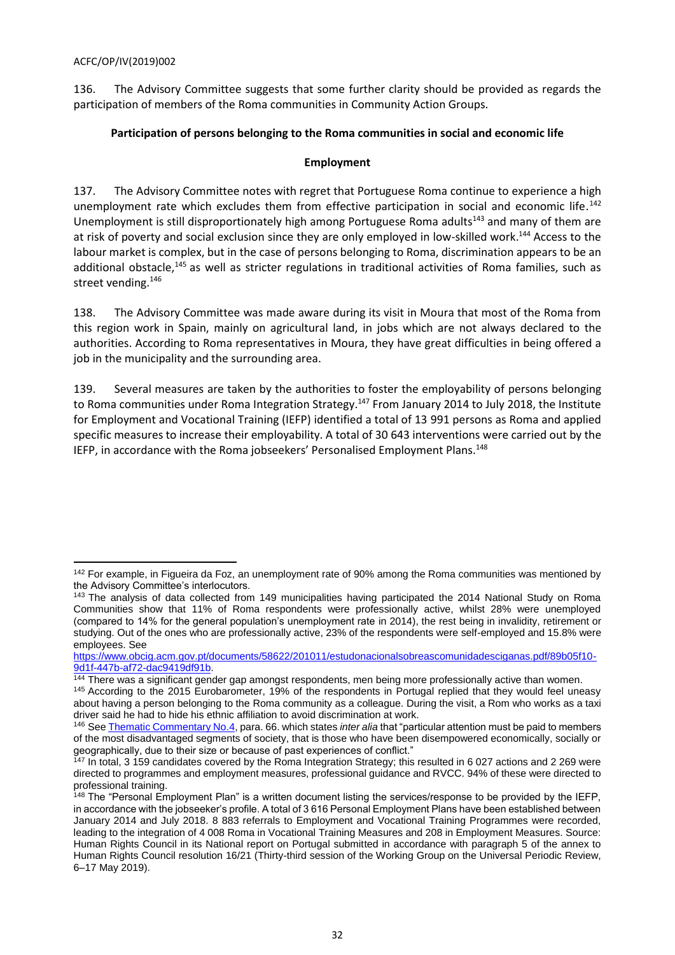136. The Advisory Committee suggests that some further clarity should be provided as regards the participation of members of the Roma communities in Community Action Groups.

### **Participation of persons belonging to the Roma communities in social and economic life**

### **Employment**

137. The Advisory Committee notes with regret that Portuguese Roma continue to experience a high unemployment rate which excludes them from effective participation in social and economic life.<sup>142</sup> Unemployment is still disproportionately high among Portuguese Roma adults<sup>143</sup> and many of them are at risk of poverty and social exclusion since they are only employed in low-skilled work. <sup>144</sup> Access to the labour market is complex, but in the case of persons belonging to Roma, discrimination appears to be an additional obstacle,<sup>145</sup> as well as stricter regulations in traditional activities of Roma families, such as street vending.<sup>146</sup>

138. The Advisory Committee was made aware during its visit in Moura that most of the Roma from this region work in Spain, mainly on agricultural land, in jobs which are not always declared to the authorities. According to Roma representatives in Moura, they have great difficulties in being offered a job in the municipality and the surrounding area.

139. Several measures are taken by the authorities to foster the employability of persons belonging to Roma communities under Roma Integration Strategy.<sup>147</sup> From January 2014 to July 2018, the Institute for Employment and Vocational Training (IEFP) identified a total of 13 991 persons as Roma and applied specific measures to increase their employability. A total of 30 643 interventions were carried out by the IEFP, in accordance with the Roma jobseekers' Personalised Employment Plans.<sup>148</sup>

l <sup>142</sup> For example, in Figueira da Foz, an unemployment rate of 90% among the Roma communities was mentioned by the Advisory Committee's interlocutors.

<sup>&</sup>lt;sup>143</sup> The analysis of data collected from 149 municipalities having participated the 2014 National Study on Roma Communities show that 11% of Roma respondents were professionally active, whilst 28% were unemployed (compared to 14% for the general population's unemployment rate in 2014), the rest being in invalidity, retirement or studying. Out of the ones who are professionally active, 23% of the respondents were self-employed and 15.8% were employees. See

[https://www.obcig.acm.gov.pt/documents/58622/201011/estudonacionalsobreascomunidadesciganas.pdf/89b05f10-](https://www.obcig.acm.gov.pt/documents/58622/201011/estudonacionalsobreascomunidadesciganas.pdf/89b05f10-9d1f-447b-af72-dac9419df91b) [9d1f-447b-af72-dac9419df91b.](https://www.obcig.acm.gov.pt/documents/58622/201011/estudonacionalsobreascomunidadesciganas.pdf/89b05f10-9d1f-447b-af72-dac9419df91b)

<sup>144</sup> There was a significant gender gap amongst respondents, men being more professionally active than women.

<sup>145</sup> According to the 2015 Eurobarometer, 19% of the respondents in Portugal replied that they would feel uneasy about having a person belonging to the Roma community as a colleague. During the visit, a Rom who works as a taxi driver said he had to hide his ethnic affiliation to avoid discrimination at work.

<sup>146</sup> Se[e Thematic Commentary No.4,](https://rm.coe.int/CoERMPublicCommonSearchServices/DisplayDCTMContent?documentId=09000016806a4811) para. 66. which states *inter alia* that "particular attention must be paid to members of the most disadvantaged segments of society, that is those who have been disempowered economically, socially or geographically, due to their size or because of past experiences of conflict."

 $147$  In total, 3 159 candidates covered by the Roma Integration Strategy; this resulted in 6 027 actions and 2 269 were directed to programmes and employment measures, professional guidance and RVCC. 94% of these were directed to professional training.

<sup>&</sup>lt;sup>148</sup> The "Personal Employment Plan" is a written document listing the services/response to be provided by the IEFP, in accordance with the jobseeker's profile. A total of 3 616 Personal Employment Plans have been established between January 2014 and July 2018. 8 883 referrals to Employment and Vocational Training Programmes were recorded, leading to the integration of 4 008 Roma in Vocational Training Measures and 208 in Employment Measures. Source: Human Rights Council in its National report on Portugal submitted in accordance with paragraph 5 of the annex to Human Rights Council resolution 16/21 (Thirty-third session of the Working Group on the Universal Periodic Review, 6–17 May 2019).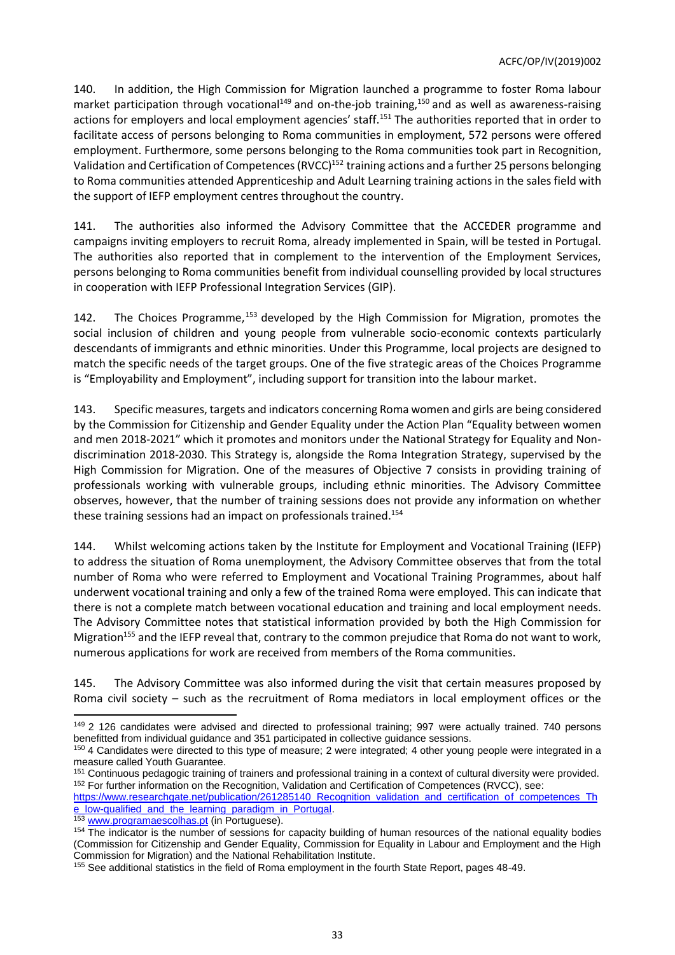140. In addition, the High Commission for Migration launched a programme to foster Roma labour market participation through vocational<sup>149</sup> and on-the-job training,<sup>150</sup> and as well as awareness-raising actions for employers and local employment agencies' staff.<sup>151</sup> The authorities reported that in order to facilitate access of persons belonging to Roma communities in employment, 572 persons were offered employment. Furthermore, some persons belonging to the Roma communities took part in Recognition, Validation and Certification of Competences (RVCC)<sup>152</sup> training actions and a further 25 persons belonging to Roma communities attended Apprenticeship and Adult Learning training actions in the sales field with the support of IEFP employment centres throughout the country.

141. The authorities also informed the Advisory Committee that the ACCEDER programme and campaigns inviting employers to recruit Roma, already implemented in Spain, will be tested in Portugal. The authorities also reported that in complement to the intervention of the Employment Services, persons belonging to Roma communities benefit from individual counselling provided by local structures in cooperation with IEFP Professional Integration Services (GIP).

142. The Choices Programme,<sup>153</sup> developed by the High Commission for Migration, promotes the social inclusion of children and young people from vulnerable socio-economic contexts particularly descendants of immigrants and ethnic minorities. Under this Programme, local projects are designed to match the specific needs of the target groups. One of the five strategic areas of the Choices Programme is "Employability and Employment", including support for transition into the labour market.

143. Specific measures, targets and indicators concerning Roma women and girls are being considered by the Commission for Citizenship and Gender Equality under the Action Plan "Equality between women and men 2018-2021" which it promotes and monitors under the National Strategy for Equality and Nondiscrimination 2018-2030. This Strategy is, alongside the Roma Integration Strategy, supervised by the High Commission for Migration. One of the measures of Objective 7 consists in providing training of professionals working with vulnerable groups, including ethnic minorities. The Advisory Committee observes, however, that the number of training sessions does not provide any information on whether these training sessions had an impact on professionals trained. 154

144. Whilst welcoming actions taken by the Institute for Employment and Vocational Training (IEFP) to address the situation of Roma unemployment, the Advisory Committee observes that from the total number of Roma who were referred to Employment and Vocational Training Programmes, about half underwent vocational training and only a few of the trained Roma were employed. This can indicate that there is not a complete match between vocational education and training and local employment needs. The Advisory Committee notes that statistical information provided by both the High Commission for Migration<sup>155</sup> and the IEFP reveal that, contrary to the common prejudice that Roma do not want to work, numerous applications for work are received from members of the Roma communities.

145. The Advisory Committee was also informed during the visit that certain measures proposed by Roma civil society – such as the recruitment of Roma mediators in local employment offices or the

 $\overline{a}$ <sup>149</sup> 2 126 candidates were advised and directed to professional training; 997 were actually trained. 740 persons benefitted from individual guidance and 351 participated in collective guidance sessions.

<sup>150 4</sup> Candidates were directed to this type of measure; 2 were integrated; 4 other young people were integrated in a measure called Youth Guarantee.

<sup>151</sup> Continuous pedagogic training of trainers and professional training in a context of cultural diversity were provided. 152 For further information on the Recognition, Validation and Certification of Competences (RVCC), see:

[https://www.researchgate.net/publication/261285140\\_Recognition\\_validation\\_and\\_certification\\_of\\_competences\\_Th](https://www.researchgate.net/publication/261285140_Recognition_validation_and_certification_of_competences_The_low-qualified_and_the_learning_paradigm_in_Portugal) [e\\_low-qualified\\_and\\_the\\_learning\\_paradigm\\_in\\_Portugal.](https://www.researchgate.net/publication/261285140_Recognition_validation_and_certification_of_competences_The_low-qualified_and_the_learning_paradigm_in_Portugal)

<sup>153</sup> [www.programaescolhas.pt](http://www.programaescolhas.pt/) (in Portuguese).

<sup>&</sup>lt;sup>154</sup> The indicator is the number of sessions for capacity building of human resources of the national equality bodies (Commission for Citizenship and Gender Equality, Commission for Equality in Labour and Employment and the High Commission for Migration) and the National Rehabilitation Institute.

<sup>155</sup> See additional statistics in the field of Roma employment in the fourth State Report, pages 48-49.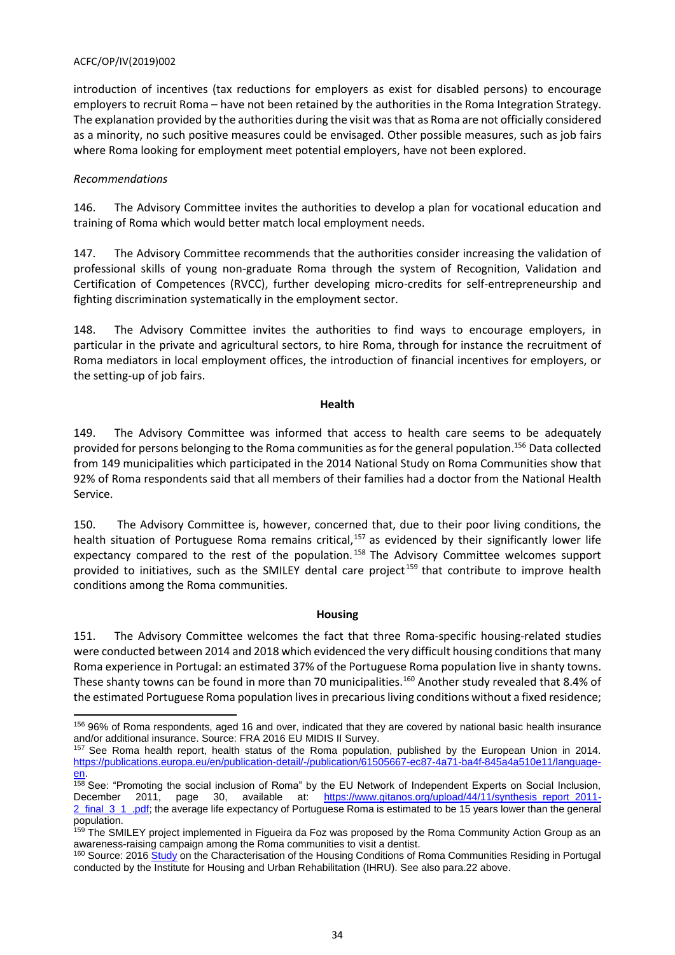introduction of incentives (tax reductions for employers as exist for disabled persons) to encourage employers to recruit Roma – have not been retained by the authorities in the Roma Integration Strategy. The explanation provided by the authorities during the visit was that as Roma are not officially considered as a minority, no such positive measures could be envisaged. Other possible measures, such as job fairs where Roma looking for employment meet potential employers, have not been explored.

### *Recommendations*

146. The Advisory Committee invites the authorities to develop a plan for vocational education and training of Roma which would better match local employment needs.

147. The Advisory Committee recommends that the authorities consider increasing the validation of professional skills of young non-graduate Roma through the system of Recognition, Validation and Certification of Competences (RVCC), further developing micro-credits for self-entrepreneurship and fighting discrimination systematically in the employment sector.

148. The Advisory Committee invites the authorities to find ways to encourage employers, in particular in the private and agricultural sectors, to hire Roma, through for instance the recruitment of Roma mediators in local employment offices, the introduction of financial incentives for employers, or the setting-up of job fairs.

#### **Health**

149. The Advisory Committee was informed that access to health care seems to be adequately provided for persons belonging to the Roma communities as for the general population. <sup>156</sup> Data collected from 149 municipalities which participated in the 2014 National Study on Roma Communities show that 92% of Roma respondents said that all members of their families had a doctor from the National Health Service.

150. The Advisory Committee is, however, concerned that, due to their poor living conditions, the health situation of Portuguese Roma remains critical, <sup>157</sup> as evidenced by their significantly lower life expectancy compared to the rest of the population.<sup>158</sup> The Advisory Committee welcomes support provided to initiatives, such as the SMILEY dental care project<sup>159</sup> that contribute to improve health conditions among the Roma communities.

### **Housing**

151. The Advisory Committee welcomes the fact that three Roma-specific housing-related studies were conducted between 2014 and 2018 which evidenced the very difficult housing conditions that many Roma experience in Portugal: an estimated 37% of the Portuguese Roma population live in shanty towns. These shanty towns can be found in more than 70 municipalities.<sup>160</sup> Another study revealed that 8.4% of the estimated Portuguese Roma population livesin precarious living conditions without a fixed residence;

 $\overline{a}$ <sup>156</sup> 96% of Roma respondents, aged 16 and over, indicated that they are covered by national basic health insurance and/or additional insurance. Source: FRA 2016 EU MIDIS II Survey.

<sup>157</sup> See Roma health report, health status of the Roma population, published by the European Union in 2014. [https://publications.europa.eu/en/publication-detail/-/publication/61505667-ec87-4a71-ba4f-845a4a510e11/language](https://publications.europa.eu/en/publication-detail/-/publication/61505667-ec87-4a71-ba4f-845a4a510e11/language-en)[en.](https://publications.europa.eu/en/publication-detail/-/publication/61505667-ec87-4a71-ba4f-845a4a510e11/language-en)

 $158$  See: "Promoting the social inclusion of Roma" by the EU Network of Independent Experts on Social Inclusion, December 2011, page 30, available at: [https://www.gitanos.org/upload/44/11/synthesis\\_report\\_2011-](https://www.gitanos.org/upload/44/11/synthesis_report_2011-2_final_3_1_.pdf) 2 final 3 1 .pdf; the average life expectancy of Portuguese Roma is estimated to be 15 years lower than the general population.

<sup>&</sup>lt;sup>159</sup> The SMILEY project implemented in Figueira da Foz was proposed by the Roma Community Action Group as an awareness-raising campaign among the Roma communities to visit a dentist.

<sup>&</sup>lt;sup>160</sup> Source: 2016 [Study](http://www.portaldahabitacao.pt/opencms/export/sites/portal/pt/portal/publicacoes/documentos/caraterizacao_condicoes_habitacao.pdf) on the Characterisation of the Housing Conditions of Roma Communities Residing in Portugal conducted by the Institute for Housing and Urban Rehabilitation (IHRU). See also para.22 above.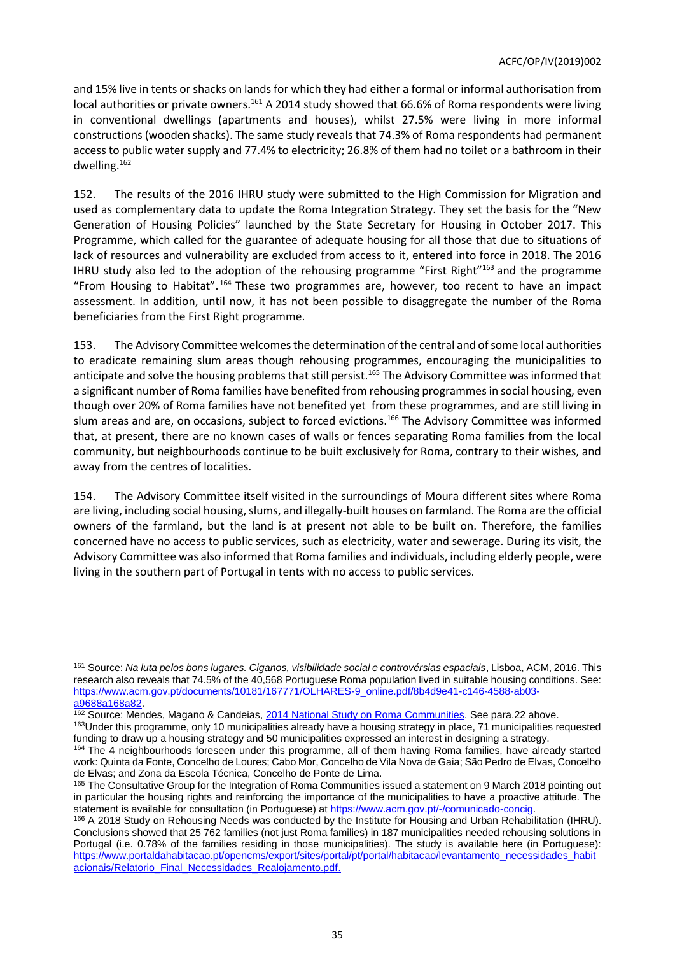and 15% live in tents or shacks on lands for which they had either a formal or informal authorisation from local authorities or private owners.<sup>161</sup> A 2014 study showed that 66.6% of Roma respondents were living in conventional dwellings (apartments and houses), whilst 27.5% were living in more informal constructions (wooden shacks). The same study reveals that 74.3% of Roma respondents had permanent access to public water supply and 77.4% to electricity; 26.8% of them had no toilet or a bathroom in their dwelling.<sup>162</sup>

152. The results of the 2016 IHRU study were submitted to the High Commission for Migration and used as complementary data to update the Roma Integration Strategy. They set the basis for the "New Generation of Housing Policies" launched by the State Secretary for Housing in October 2017. This Programme, which called for the guarantee of adequate housing for all those that due to situations of lack of resources and vulnerability are excluded from access to it, entered into force in 2018. The 2016 IHRU study also led to the adoption of the rehousing programme "First Right"<sup>163</sup> and the programme "From Housing to Habitat".<sup>164</sup> These two programmes are, however, too recent to have an impact assessment. In addition, until now, it has not been possible to disaggregate the number of the Roma beneficiaries from the First Right programme.

153. The Advisory Committee welcomes the determination of the central and of some local authorities to eradicate remaining slum areas though rehousing programmes, encouraging the municipalities to anticipate and solve the housing problems that still persist.<sup>165</sup> The Advisory Committee was informed that a significant number of Roma families have benefited from rehousing programmes in social housing, even though over 20% of Roma families have not benefited yet from these programmes, and are still living in slum areas and are, on occasions, subject to forced evictions.<sup>166</sup> The Advisory Committee was informed that, at present, there are no known cases of walls or fences separating Roma families from the local community, but neighbourhoods continue to be built exclusively for Roma, contrary to their wishes, and away from the centres of localities.

154. The Advisory Committee itself visited in the surroundings of Moura different sites where Roma are living, including social housing, slums, and illegally-built houses on farmland. The Roma are the official owners of the farmland, but the land is at present not able to be built on. Therefore, the families concerned have no access to public services, such as electricity, water and sewerage. During its visit, the Advisory Committee was also informed that Roma families and individuals, including elderly people, were living in the southern part of Portugal in tents with no access to public services.

 $\overline{a}$ <sup>161</sup> Source: *Na luta pelos bons lugares. Ciganos, visibilidade social e controvérsias espaciais*, Lisboa, ACM, 2016. This research also reveals that 74.5% of the 40,568 Portuguese Roma population lived in suitable housing conditions. See: [https://www.acm.gov.pt/documents/10181/167771/OLHARES-9\\_online.pdf/8b4d9e41-c146-4588-ab03](https://www.acm.gov.pt/documents/10181/167771/OLHARES-9_online.pdf/8b4d9e41-c146-4588-ab03-a9688a168a82) [a9688a168a82.](https://www.acm.gov.pt/documents/10181/167771/OLHARES-9_online.pdf/8b4d9e41-c146-4588-ab03-a9688a168a82)

<sup>162</sup> Source: Mendes, Magano & Candeias[, 2014 National Study on Roma Communities.](https://www.obcig.acm.gov.pt/documents/58622/201011/estudonacionalsobreascomunidadesciganas.pdf/89b05f10-9d1f-447b-af72-dac9419df91b.) See para.22 above.

<sup>&</sup>lt;sup>163</sup>Under this programme, only 10 municipalities already have a housing strategy in place, 71 municipalities requested funding to draw up a housing strategy and 50 municipalities expressed an interest in designing a strategy.

<sup>164</sup> The 4 neighbourhoods foreseen under this programme, all of them having Roma families, have already started work: Quinta da Fonte, Concelho de Loures; Cabo Mor, Concelho de Vila Nova de Gaia; São Pedro de Elvas, Concelho de Elvas; and Zona da Escola Técnica, Concelho de Ponte de Lima.

<sup>&</sup>lt;sup>165</sup> The Consultative Group for the Integration of Roma Communities issued a statement on 9 March 2018 pointing out in particular the housing rights and reinforcing the importance of the municipalities to have a proactive attitude. The statement is available for consultation (in Portuguese) at https://www.acm.gov.pt/-/comunicado-concig

<sup>166</sup> A 2018 Study on Rehousing Needs was conducted by the Institute for Housing and Urban Rehabilitation (IHRU). Conclusions showed that 25 762 families (not just Roma families) in 187 municipalities needed rehousing solutions in Portugal (i.e. 0.78% of the families residing in those municipalities). The study is available here (in Portuguese): [https://www.portaldahabitacao.pt/opencms/export/sites/portal/pt/portal/habitacao/levantamento\\_necessidades\\_habit](https://www.portaldahabitacao.pt/opencms/export/sites/portal/pt/portal/habitacao/levantamento_necessidades_habitacionais/Relatorio_Final_Necessidades_Realojamento.pdf) [acionais/Relatorio\\_Final\\_Necessidades\\_Realojamento.pdf.](https://www.portaldahabitacao.pt/opencms/export/sites/portal/pt/portal/habitacao/levantamento_necessidades_habitacionais/Relatorio_Final_Necessidades_Realojamento.pdf)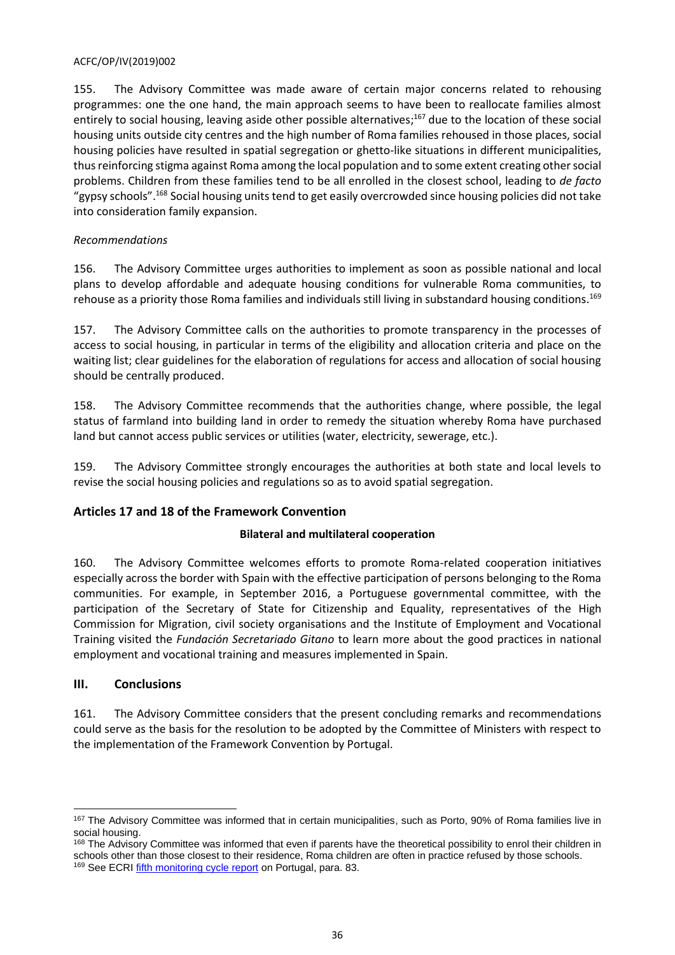155. The Advisory Committee was made aware of certain major concerns related to rehousing programmes: one the one hand, the main approach seems to have been to reallocate families almost entirely to social housing, leaving aside other possible alternatives; <sup>167</sup> due to the location of these social housing units outside city centres and the high number of Roma families rehoused in those places, social housing policies have resulted in spatial segregation or ghetto-like situations in different municipalities, thus reinforcing stigma against Roma among the local population and to some extent creating other social problems. Children from these families tend to be all enrolled in the closest school, leading to *de facto* "gypsy schools".<sup>168</sup> Social housing units tend to get easily overcrowded since housing policies did not take into consideration family expansion.

## *Recommendations*

156. The Advisory Committee urges authorities to implement as soon as possible national and local plans to develop affordable and adequate housing conditions for vulnerable Roma communities, to rehouse as a priority those Roma families and individuals still living in substandard housing conditions. $^{169}$ 

157. The Advisory Committee calls on the authorities to promote transparency in the processes of access to social housing, in particular in terms of the eligibility and allocation criteria and place on the waiting list; clear guidelines for the elaboration of regulations for access and allocation of social housing should be centrally produced.

158. The Advisory Committee recommends that the authorities change, where possible, the legal status of farmland into building land in order to remedy the situation whereby Roma have purchased land but cannot access public services or utilities (water, electricity, sewerage, etc.).

159. The Advisory Committee strongly encourages the authorities at both state and local levels to revise the social housing policies and regulations so as to avoid spatial segregation.

## <span id="page-35-0"></span>**Articles 17 and 18 of the Framework Convention**

## **Bilateral and multilateral cooperation**

160. The Advisory Committee welcomes efforts to promote Roma-related cooperation initiatives especially across the border with Spain with the effective participation of persons belonging to the Roma communities. For example, in September 2016, a Portuguese governmental committee, with the participation of the Secretary of State for Citizenship and Equality, representatives of the High Commission for Migration, civil society organisations and the Institute of Employment and Vocational Training visited the *Fundación Secretariado Gitano* to learn more about the good practices in national employment and vocational training and measures implemented in Spain.

## <span id="page-35-1"></span>**III. Conclusions**

161. The Advisory Committee considers that the present concluding remarks and recommendations could serve as the basis for the resolution to be adopted by the Committee of Ministers with respect to the implementation of the Framework Convention by Portugal.

 $\overline{a}$ <sup>167</sup> The Advisory Committee was informed that in certain municipalities, such as Porto, 90% of Roma families live in social housing.

<sup>&</sup>lt;sup>168</sup> The Advisory Committee was informed that even if parents have the theoretical possibility to enrol their children in schools other than those closest to their residence, Roma children are often in practice refused by those schools. 169 See ECRI [fifth monitoring cycle report](https://rm.coe.int/fifth-report-on-portugal/16808de7da) on Portugal, para. 83.